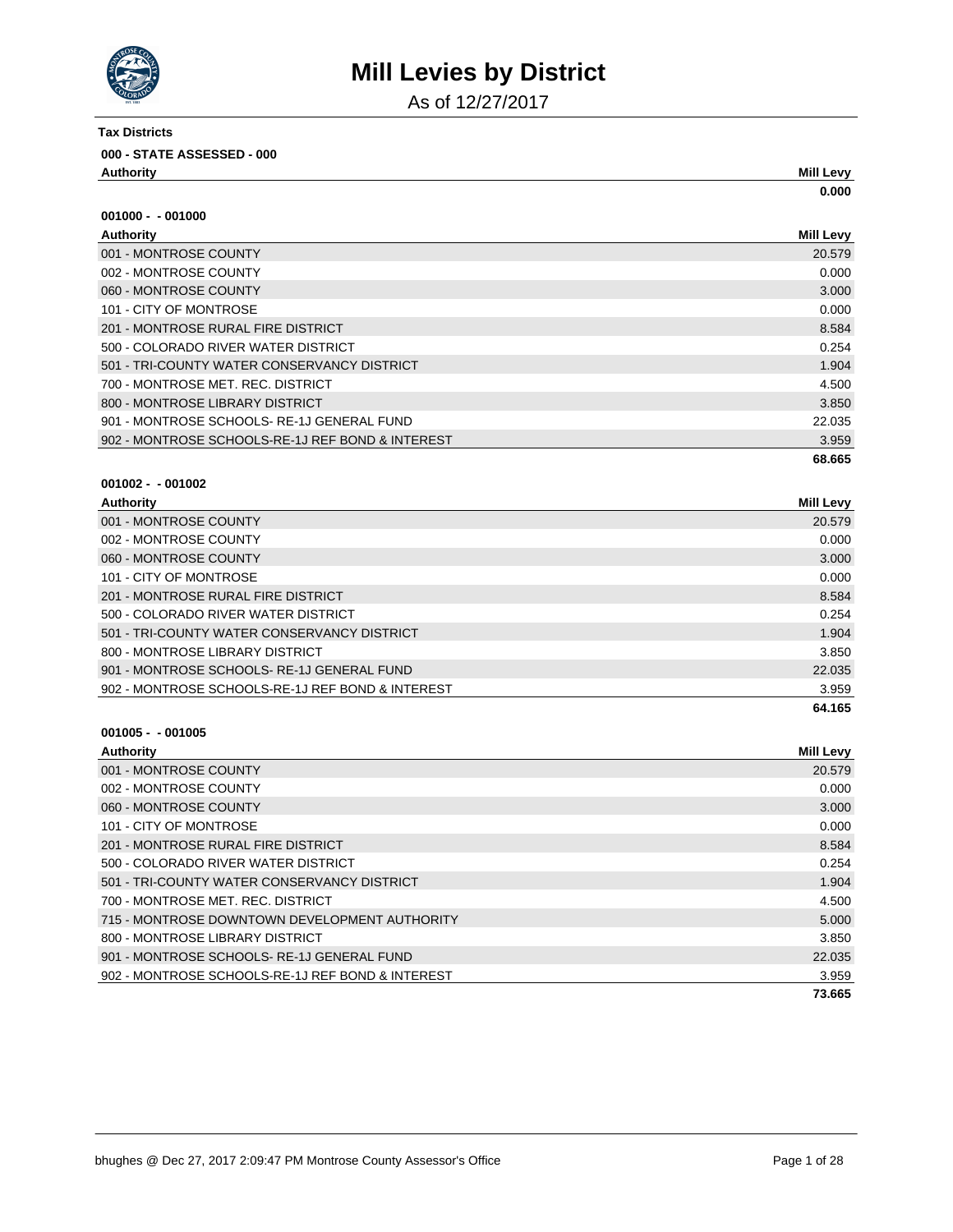

As of 12/27/2017

| Tax Districts                      |           |
|------------------------------------|-----------|
| 000 - STATE ASSESSED - 000         |           |
| Authority                          | Mill Levy |
|                                    | 0.000     |
| $001000 - 001000$                  |           |
| <b>Authority</b>                   | Mill Levy |
| 001 - MONTROSE COUNTY              | 20.579    |
| 002 - MONTROSE COUNTY              | 0.000     |
| 060 - MONTROSE COUNTY              | 3.000     |
| 101 - CITY OF MONTROSE             | 0.000     |
| 201 - MONTROSE RURAL FIRE DISTRICT | 8.584     |

|                                                  | 68.665 |
|--------------------------------------------------|--------|
| 902 - MONTROSE SCHOOLS-RE-1J REF BOND & INTEREST | 3.959  |
| 901 - MONTROSE SCHOOLS-RE-1J GENERAL FUND        | 22.035 |
| 800 - MONTROSE LIBRARY DISTRICT                  | 3.850  |
| 700 - MONTROSE MET. REC. DISTRICT                | 4.500  |
| 501 - TRI-COUNTY WATER CONSERVANCY DISTRICT      | 1.904  |
| 500 - COLORADO RIVER WATER DISTRICT              | 0.254  |

### **001002 - - 001002**

| Authority                                        | Mill Levy |
|--------------------------------------------------|-----------|
| 001 - MONTROSE COUNTY                            | 20.579    |
| 002 - MONTROSE COUNTY                            | 0.000     |
| 060 - MONTROSE COUNTY                            | 3.000     |
| 101 - CITY OF MONTROSE                           | 0.000     |
| 201 - MONTROSE RURAL FIRE DISTRICT               | 8.584     |
| 500 - COLORADO RIVER WATER DISTRICT              | 0.254     |
| 501 - TRI-COUNTY WATER CONSERVANCY DISTRICT      | 1.904     |
| 800 - MONTROSE LIBRARY DISTRICT                  | 3.850     |
| 901 - MONTROSE SCHOOLS-RE-1J GENERAL FUND        | 22.035    |
| 902 - MONTROSE SCHOOLS-RE-1J REF BOND & INTEREST | 3.959     |
|                                                  | 64.165    |

| <b>Authority</b>                                 | <b>Mill Levy</b> |
|--------------------------------------------------|------------------|
| 001 - MONTROSE COUNTY                            | 20.579           |
| 002 - MONTROSE COUNTY                            | 0.000            |
| 060 - MONTROSE COUNTY                            | 3.000            |
| 101 - CITY OF MONTROSE                           | 0.000            |
| 201 - MONTROSE RURAL FIRE DISTRICT               | 8.584            |
| 500 - COLORADO RIVER WATER DISTRICT              | 0.254            |
| 501 - TRI-COUNTY WATER CONSERVANCY DISTRICT      | 1.904            |
| 700 - MONTROSE MET. REC. DISTRICT                | 4.500            |
| 715 - MONTROSE DOWNTOWN DEVELOPMENT AUTHORITY    | 5.000            |
| 800 - MONTROSE LIBRARY DISTRICT                  | 3.850            |
| 901 - MONTROSE SCHOOLS-RE-1J GENERAL FUND        | 22.035           |
| 902 - MONTROSE SCHOOLS-RE-1J REF BOND & INTEREST | 3.959            |
|                                                  | 73.665           |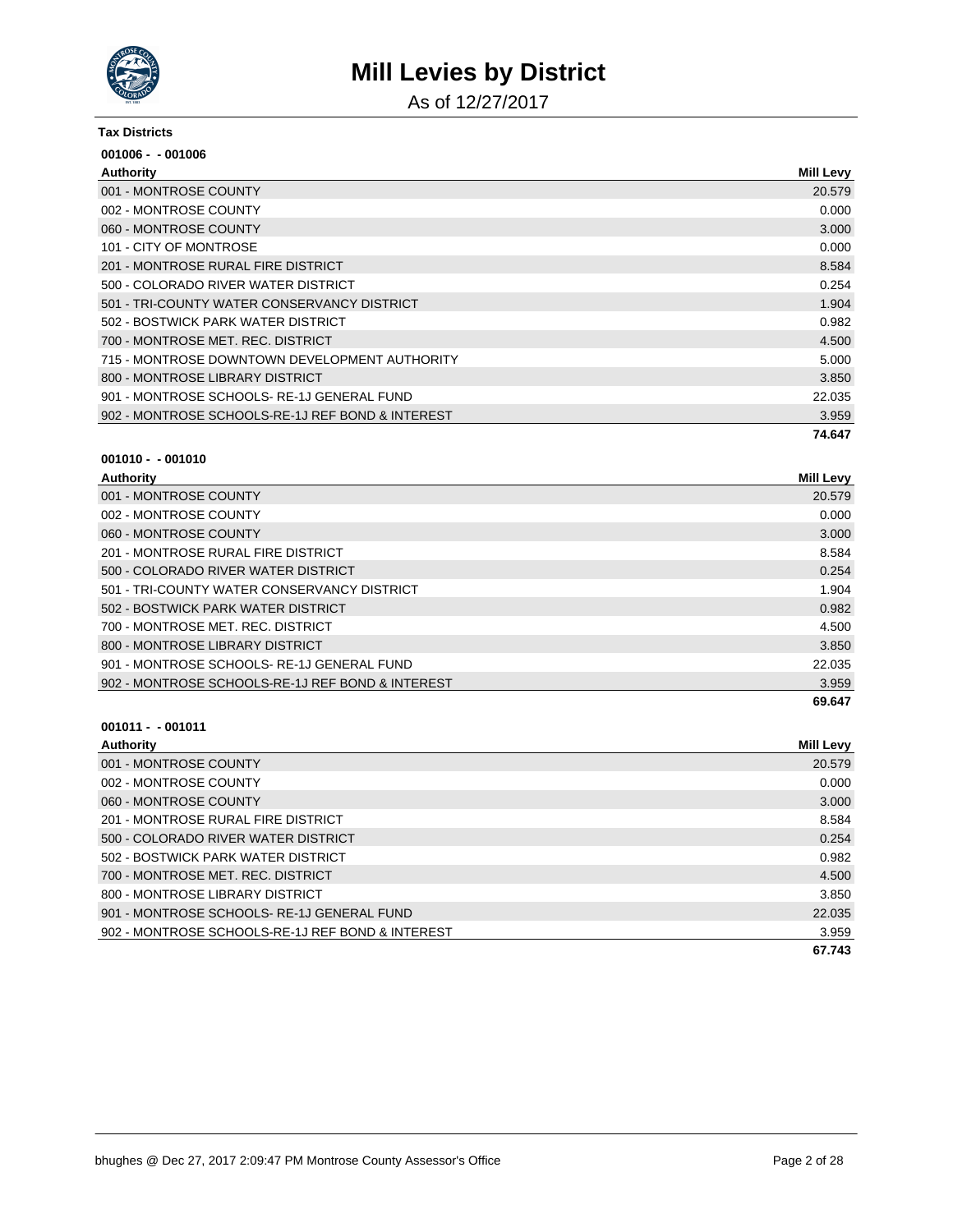

As of 12/27/2017

#### **Tax Districts**

| $001006 - 001006$                                |                  |
|--------------------------------------------------|------------------|
| Authority                                        | <b>Mill Levy</b> |
| 001 - MONTROSE COUNTY                            | 20.579           |
| 002 - MONTROSE COUNTY                            | 0.000            |
| 060 - MONTROSE COUNTY                            | 3.000            |
| 101 - CITY OF MONTROSE                           | 0.000            |
| 201 - MONTROSE RURAL FIRE DISTRICT               | 8.584            |
| 500 - COLORADO RIVER WATER DISTRICT              | 0.254            |
| 501 - TRI-COUNTY WATER CONSERVANCY DISTRICT      | 1.904            |
| 502 - BOSTWICK PARK WATER DISTRICT               | 0.982            |
| 700 - MONTROSE MET, REC. DISTRICT                | 4.500            |
| 715 - MONTROSE DOWNTOWN DEVELOPMENT AUTHORITY    | 5.000            |
| 800 - MONTROSE LIBRARY DISTRICT                  | 3.850            |
| 901 - MONTROSE SCHOOLS-RE-1J GENERAL FUND        | 22.035           |
| 902 - MONTROSE SCHOOLS-RE-1J REF BOND & INTEREST | 3.959            |
|                                                  | 74.647           |

# **001010 - - 001010**

| Authority             | <b>Mill Levv</b> |
|-----------------------|------------------|
| 001 - MONTROSE COUNTY | 20.579           |
| 002 - MONTROSE COUNTY | 0.000            |
| 060 - MONTROSE COUNTY | 3.000            |

| 002 - MONTROSE COUNTY                            | 0.000  |
|--------------------------------------------------|--------|
| 060 - MONTROSE COUNTY                            | 3.000  |
| 201 - MONTROSE RURAL FIRE DISTRICT               | 8.584  |
| 500 - COLORADO RIVER WATER DISTRICT              | 0.254  |
| 501 - TRI-COUNTY WATER CONSERVANCY DISTRICT      | 1.904  |
| 502 - BOSTWICK PARK WATER DISTRICT               | 0.982  |
| 700 - MONTROSE MET. REC. DISTRICT                | 4.500  |
| 800 - MONTROSE LIBRARY DISTRICT                  | 3.850  |
| 901 - MONTROSE SCHOOLS-RE-1J GENERAL FUND        | 22.035 |
| 902 - MONTROSE SCHOOLS-RE-1J REF BOND & INTEREST | 3.959  |
|                                                  | 69.647 |

| Authority                                        | Mill Levy |
|--------------------------------------------------|-----------|
| 001 - MONTROSE COUNTY                            | 20.579    |
| 002 - MONTROSE COUNTY                            | 0.000     |
| 060 - MONTROSE COUNTY                            | 3.000     |
| 201 - MONTROSE RURAL FIRE DISTRICT               | 8.584     |
| 500 - COLORADO RIVER WATER DISTRICT              | 0.254     |
| 502 - BOSTWICK PARK WATER DISTRICT               | 0.982     |
| 700 - MONTROSE MET. REC. DISTRICT                | 4.500     |
| 800 - MONTROSE LIBRARY DISTRICT                  | 3.850     |
| 901 - MONTROSE SCHOOLS-RE-1J GENERAL FUND        | 22.035    |
| 902 - MONTROSE SCHOOLS-RE-1J REF BOND & INTEREST | 3.959     |
|                                                  | 67.743    |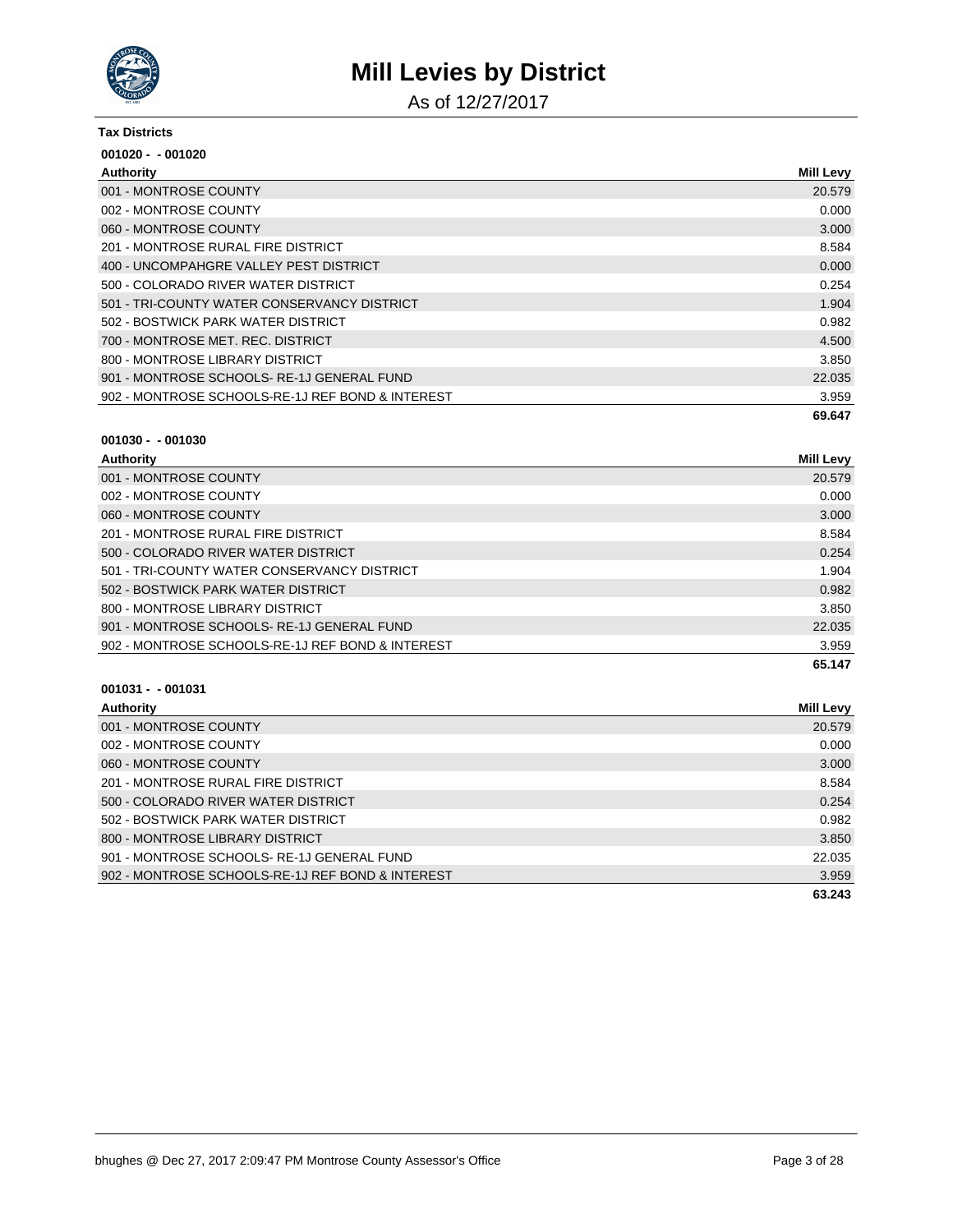

As of 12/27/2017

#### **Tax Districts**

| $001020 - 001020$                                |                  |
|--------------------------------------------------|------------------|
| Authority                                        | <b>Mill Levy</b> |
| 001 - MONTROSE COUNTY                            | 20.579           |
| 002 - MONTROSE COUNTY                            | 0.000            |
| 060 - MONTROSE COUNTY                            | 3.000            |
| 201 - MONTROSE RURAL FIRE DISTRICT               | 8.584            |
| 400 - UNCOMPAHGRE VALLEY PEST DISTRICT           | 0.000            |
| 500 - COLORADO RIVER WATER DISTRICT              | 0.254            |
| 501 - TRI-COUNTY WATER CONSERVANCY DISTRICT      | 1.904            |
| 502 - BOSTWICK PARK WATER DISTRICT               | 0.982            |
| 700 - MONTROSE MET. REC. DISTRICT                | 4.500            |
| 800 - MONTROSE LIBRARY DISTRICT                  | 3.850            |
| 901 - MONTROSE SCHOOLS-RE-1J GENERAL FUND        | 22.035           |
| 902 - MONTROSE SCHOOLS-RE-1J REF BOND & INTEREST | 3.959            |
|                                                  | 69.647           |

#### **001030 - - 001030**

| Authority                                        | <b>Mill Levy</b> |
|--------------------------------------------------|------------------|
| 001 - MONTROSE COUNTY                            | 20.579           |
| 002 - MONTROSE COUNTY                            | 0.000            |
| 060 - MONTROSE COUNTY                            | 3.000            |
| 201 - MONTROSE RURAL FIRE DISTRICT               | 8.584            |
| 500 - COLORADO RIVER WATER DISTRICT              | 0.254            |
| 501 - TRI-COUNTY WATER CONSERVANCY DISTRICT      | 1.904            |
| 502 - BOSTWICK PARK WATER DISTRICT               | 0.982            |
| 800 - MONTROSE LIBRARY DISTRICT                  | 3.850            |
| 901 - MONTROSE SCHOOLS-RE-1J GENERAL FUND        | 22.035           |
| 902 - MONTROSE SCHOOLS-RE-1J REF BOND & INTEREST | 3.959            |
|                                                  | 65.147           |

| Authority                                        | Mill Levy |
|--------------------------------------------------|-----------|
| 001 - MONTROSE COUNTY                            | 20.579    |
| 002 - MONTROSE COUNTY                            | 0.000     |
| 060 - MONTROSE COUNTY                            | 3.000     |
| 201 - MONTROSE RURAL FIRE DISTRICT               | 8.584     |
| 500 - COLORADO RIVER WATER DISTRICT              | 0.254     |
| 502 - BOSTWICK PARK WATER DISTRICT               | 0.982     |
| 800 - MONTROSE LIBRARY DISTRICT                  | 3.850     |
| 901 - MONTROSE SCHOOLS-RE-1J GENERAL FUND        | 22.035    |
| 902 - MONTROSE SCHOOLS-RE-1J REF BOND & INTEREST | 3.959     |
|                                                  | 63.243    |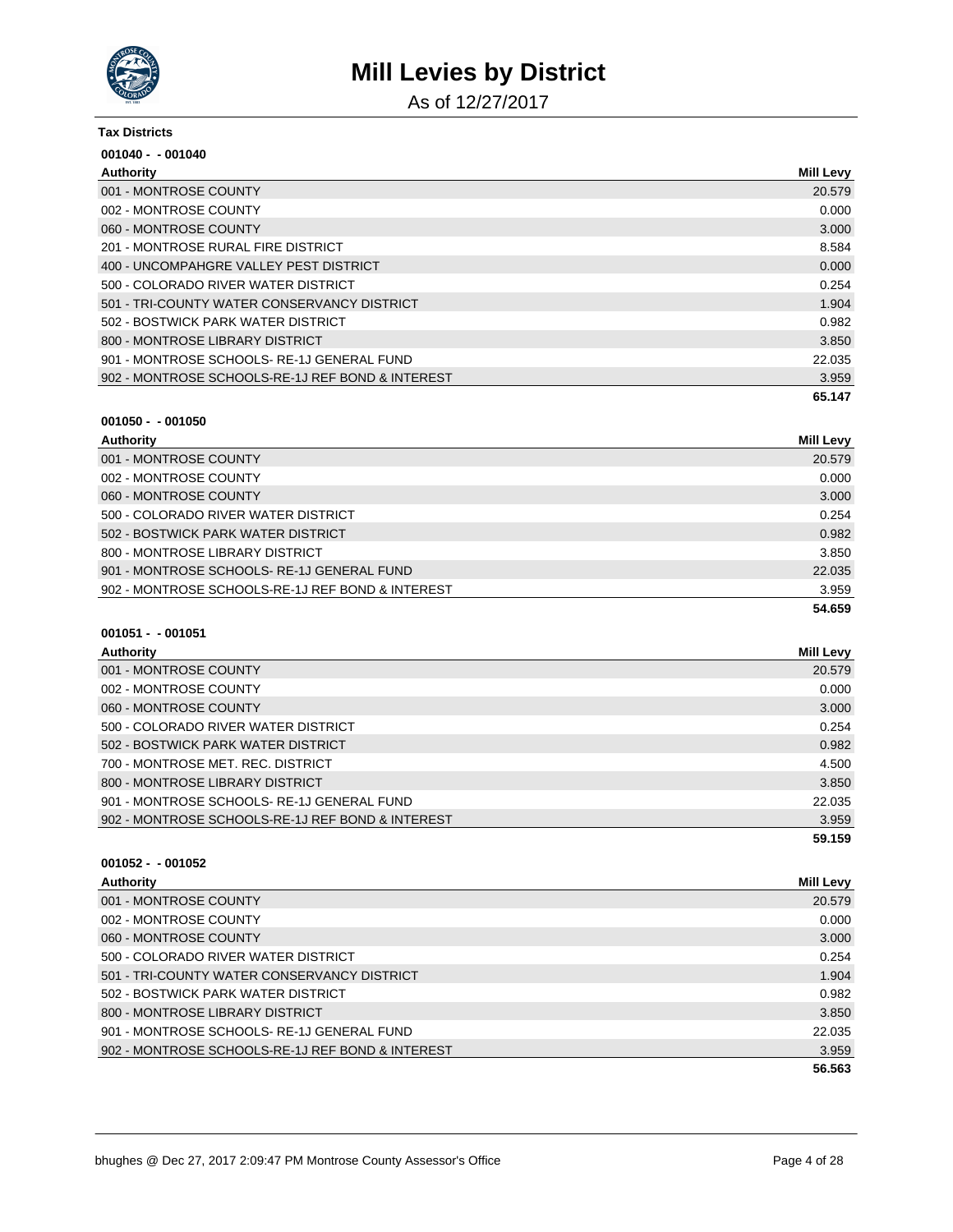

As of 12/27/2017

#### **Tax Districts**

| $001040 - 001040$                                |                  |
|--------------------------------------------------|------------------|
| Authority                                        | <b>Mill Levy</b> |
| 001 - MONTROSE COUNTY                            | 20.579           |
| 002 - MONTROSE COUNTY                            | 0.000            |
| 060 - MONTROSE COUNTY                            | 3.000            |
| 201 - MONTROSE RURAL FIRE DISTRICT               | 8.584            |
| 400 - UNCOMPAHGRE VALLEY PEST DISTRICT           | 0.000            |
| 500 - COLORADO RIVER WATER DISTRICT              | 0.254            |
| 501 - TRI-COUNTY WATER CONSERVANCY DISTRICT      | 1.904            |
| 502 - BOSTWICK PARK WATER DISTRICT               | 0.982            |
| 800 - MONTROSE LIBRARY DISTRICT                  | 3.850            |
| 901 - MONTROSE SCHOOLS-RE-1J GENERAL FUND        | 22.035           |
| 902 - MONTROSE SCHOOLS-RE-1J REF BOND & INTEREST | 3.959            |
|                                                  | 65.147           |

#### **001050 - - 001050**

| Authority                                        | <b>Mill Levy</b> |
|--------------------------------------------------|------------------|
| 001 - MONTROSE COUNTY                            | 20.579           |
| 002 - MONTROSE COUNTY                            | 0.000            |
| 060 - MONTROSE COUNTY                            | 3.000            |
| 500 - COLORADO RIVER WATER DISTRICT              | 0.254            |
| 502 - BOSTWICK PARK WATER DISTRICT               | 0.982            |
| 800 - MONTROSE LIBRARY DISTRICT                  | 3.850            |
| 901 - MONTROSE SCHOOLS-RE-1J GENERAL FUND        | 22.035           |
| 902 - MONTROSE SCHOOLS-RE-1J REF BOND & INTEREST | 3.959            |
|                                                  | 54.659           |

### **001051 - - 001051**

| Authority                                        | Mill Levy |
|--------------------------------------------------|-----------|
| 001 - MONTROSE COUNTY                            | 20.579    |
| 002 - MONTROSE COUNTY                            | 0.000     |
| 060 - MONTROSE COUNTY                            | 3.000     |
| 500 - COLORADO RIVER WATER DISTRICT              | 0.254     |
| 502 - BOSTWICK PARK WATER DISTRICT               | 0.982     |
| 700 - MONTROSE MET. REC. DISTRICT                | 4.500     |
| 800 - MONTROSE LIBRARY DISTRICT                  | 3.850     |
| 901 - MONTROSE SCHOOLS-RE-1J GENERAL FUND        | 22.035    |
| 902 - MONTROSE SCHOOLS-RE-1J REF BOND & INTEREST | 3.959     |
|                                                  | 59.159    |

| Authority                                        | <b>Mill Levy</b> |
|--------------------------------------------------|------------------|
| 001 - MONTROSE COUNTY                            | 20.579           |
| 002 - MONTROSE COUNTY                            | 0.000            |
| 060 - MONTROSE COUNTY                            | 3.000            |
| 500 - COLORADO RIVER WATER DISTRICT              | 0.254            |
| 501 - TRI-COUNTY WATER CONSERVANCY DISTRICT      | 1.904            |
| 502 - BOSTWICK PARK WATER DISTRICT               | 0.982            |
| 800 - MONTROSE LIBRARY DISTRICT                  | 3.850            |
| 901 - MONTROSE SCHOOLS-RE-1J GENERAL FUND        | 22.035           |
| 902 - MONTROSE SCHOOLS-RE-1J REF BOND & INTEREST | 3.959            |
|                                                  | 56.563           |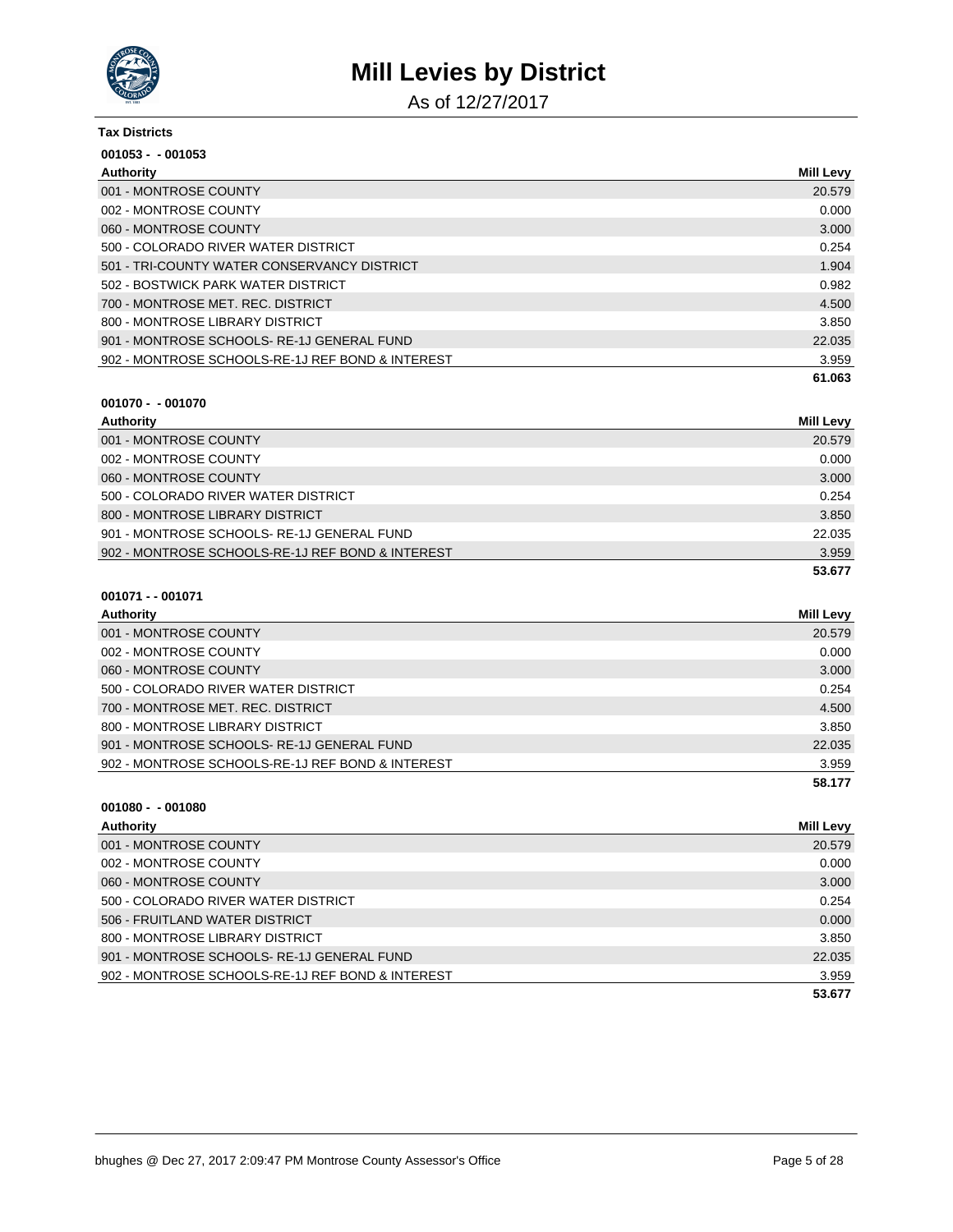

As of 12/27/2017

| <b>Tax Districts</b>                             |                  |
|--------------------------------------------------|------------------|
| $001053 - 001053$                                |                  |
| Authority                                        | <b>Mill Levy</b> |
| 001 - MONTROSE COUNTY                            | 20.579           |
| 002 - MONTROSE COUNTY                            | 0.000            |
| 060 - MONTROSE COUNTY                            | 3.000            |
| 500 - COLORADO RIVER WATER DISTRICT              | 0.254            |
| 501 - TRI-COUNTY WATER CONSERVANCY DISTRICT      | 1.904            |
| 502 - BOSTWICK PARK WATER DISTRICT               | 0.982            |
| 700 - MONTROSE MET. REC. DISTRICT                | 4.500            |
| 800 - MONTROSE LIBRARY DISTRICT                  | 3.850            |
| 901 - MONTROSE SCHOOLS-RE-1J GENERAL FUND        | 22.035           |
| 902 - MONTROSE SCHOOLS-RE-1J REF BOND & INTEREST | 3.959            |
|                                                  | 61.063           |

#### **001070 - - 001070**

| Authority                                        | <b>Mill Levy</b> |
|--------------------------------------------------|------------------|
| 001 - MONTROSE COUNTY                            | 20.579           |
| 002 - MONTROSE COUNTY                            | 0.000            |
| 060 - MONTROSE COUNTY                            | 3.000            |
| 500 - COLORADO RIVER WATER DISTRICT              | 0.254            |
| 800 - MONTROSE LIBRARY DISTRICT                  | 3.850            |
| 901 - MONTROSE SCHOOLS-RE-1J GENERAL FUND        | 22.035           |
| 902 - MONTROSE SCHOOLS-RE-1J REF BOND & INTEREST | 3.959            |
|                                                  | 53.677           |

#### **001071 - - 001071**

| <b>Authority</b>                                 | Mill Levy |
|--------------------------------------------------|-----------|
| 001 - MONTROSE COUNTY                            | 20.579    |
| 002 - MONTROSE COUNTY                            | 0.000     |
| 060 - MONTROSE COUNTY                            | 3.000     |
| 500 - COLORADO RIVER WATER DISTRICT              | 0.254     |
| 700 - MONTROSE MET. REC. DISTRICT                | 4.500     |
| 800 - MONTROSE LIBRARY DISTRICT                  | 3.850     |
| 901 - MONTROSE SCHOOLS-RE-1J GENERAL FUND        | 22.035    |
| 902 - MONTROSE SCHOOLS-RE-1J REF BOND & INTEREST | 3.959     |
|                                                  | 58.177    |

| Authority                                        | <b>Mill Levy</b> |
|--------------------------------------------------|------------------|
| 001 - MONTROSE COUNTY                            | 20.579           |
| 002 - MONTROSE COUNTY                            | 0.000            |
| 060 - MONTROSE COUNTY                            | 3.000            |
| 500 - COLORADO RIVER WATER DISTRICT              | 0.254            |
| 506 - FRUITLAND WATER DISTRICT                   | 0.000            |
| 800 - MONTROSE LIBRARY DISTRICT                  | 3.850            |
| 901 - MONTROSE SCHOOLS-RE-1J GENERAL FUND        | 22.035           |
| 902 - MONTROSE SCHOOLS-RE-1J REF BOND & INTEREST | 3.959            |
|                                                  | 53.677           |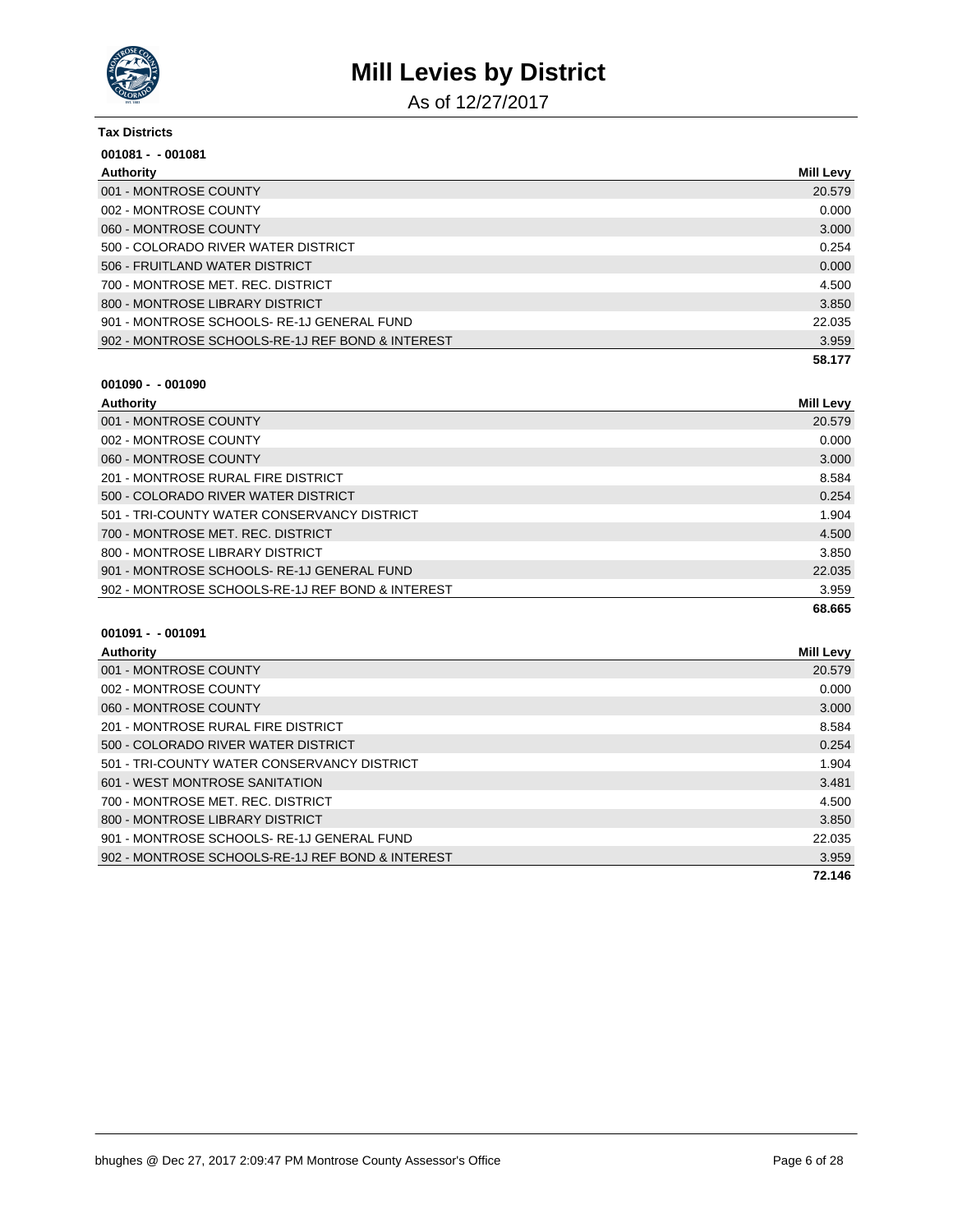

As of 12/27/2017

| <b>Tax Districts</b>                             |                  |
|--------------------------------------------------|------------------|
| $001081 - 001081$                                |                  |
| Authority                                        | <b>Mill Levy</b> |
| 001 - MONTROSE COUNTY                            | 20.579           |
| 002 - MONTROSE COUNTY                            | 0.000            |
| 060 - MONTROSE COUNTY                            | 3.000            |
| 500 - COLORADO RIVER WATER DISTRICT              | 0.254            |
| 506 - FRUITLAND WATER DISTRICT                   | 0.000            |
| 700 - MONTROSE MET. REC. DISTRICT                | 4.500            |
| 800 - MONTROSE LIBRARY DISTRICT                  | 3.850            |
| 901 - MONTROSE SCHOOLS-RE-1J GENERAL FUND        | 22.035           |
| 902 - MONTROSE SCHOOLS-RE-1J REF BOND & INTEREST | 3.959            |
|                                                  | 58.177           |

#### **001090 - - 001090**

| Authority                                        | <b>Mill Levy</b> |
|--------------------------------------------------|------------------|
| 001 - MONTROSE COUNTY                            | 20.579           |
| 002 - MONTROSE COUNTY                            | 0.000            |
| 060 - MONTROSE COUNTY                            | 3.000            |
| 201 - MONTROSE RURAL FIRE DISTRICT               | 8.584            |
| 500 - COLORADO RIVER WATER DISTRICT              | 0.254            |
| 501 - TRI-COUNTY WATER CONSERVANCY DISTRICT      | 1.904            |
| 700 - MONTROSE MET, REC. DISTRICT                | 4.500            |
| 800 - MONTROSE LIBRARY DISTRICT                  | 3.850            |
| 901 - MONTROSE SCHOOLS-RE-1J GENERAL FUND        | 22.035           |
| 902 - MONTROSE SCHOOLS-RE-1J REF BOND & INTEREST | 3.959            |
|                                                  | 68.665           |

| Authority                                        | <b>Mill Levy</b> |
|--------------------------------------------------|------------------|
| 001 - MONTROSE COUNTY                            | 20.579           |
| 002 - MONTROSE COUNTY                            | 0.000            |
| 060 - MONTROSE COUNTY                            | 3.000            |
| 201 - MONTROSE RURAL FIRE DISTRICT               | 8.584            |
| 500 - COLORADO RIVER WATER DISTRICT              | 0.254            |
| 501 - TRI-COUNTY WATER CONSERVANCY DISTRICT      | 1.904            |
| 601 - WEST MONTROSE SANITATION                   | 3.481            |
| 700 - MONTROSE MET, REC. DISTRICT                | 4.500            |
| 800 - MONTROSE LIBRARY DISTRICT                  | 3.850            |
| 901 - MONTROSE SCHOOLS-RE-1J GENERAL FUND        | 22.035           |
| 902 - MONTROSE SCHOOLS-RE-1J REF BOND & INTEREST | 3.959            |
|                                                  | 72.146           |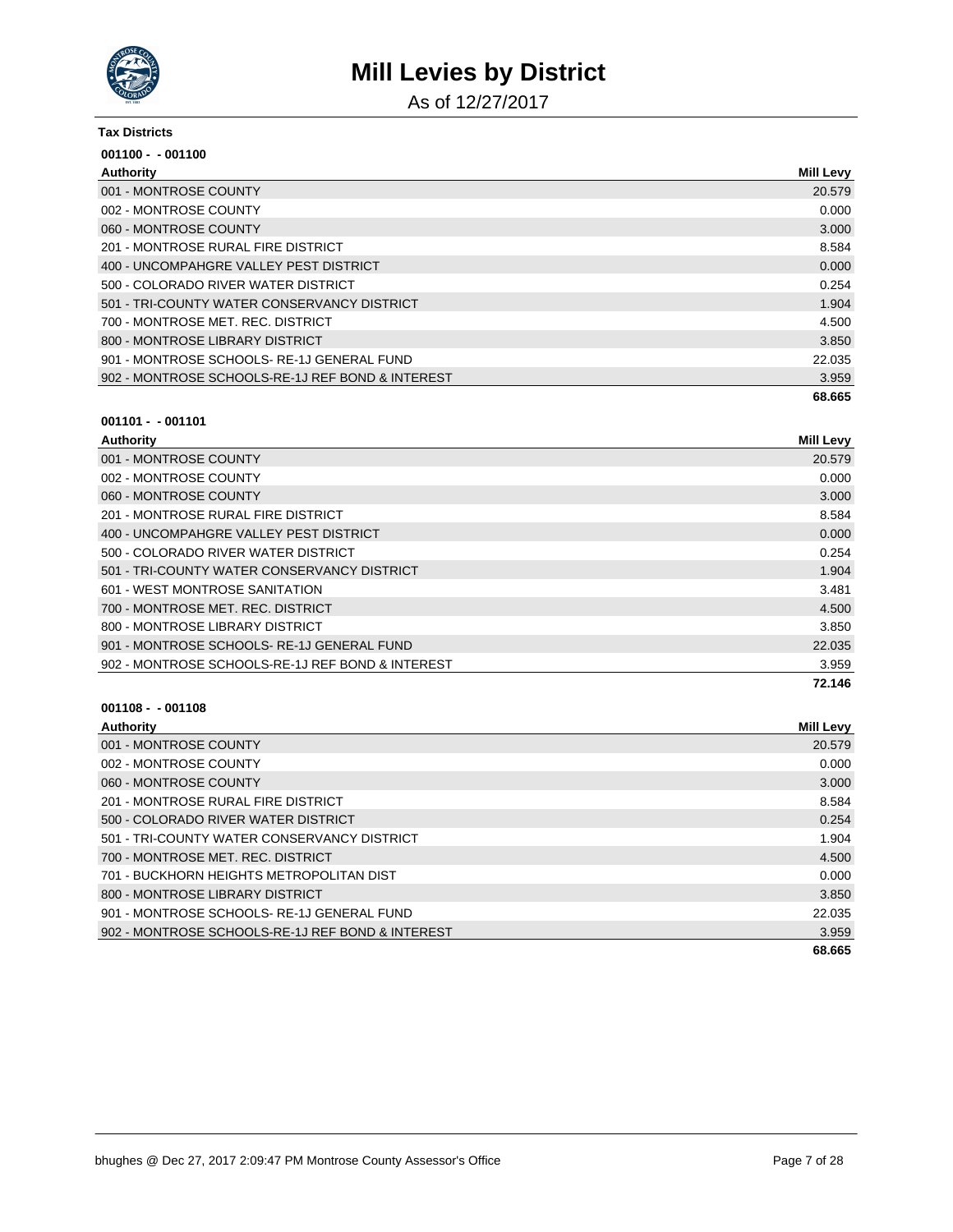

As of 12/27/2017

#### **Tax Districts**

| $001100 - 001100$                                |                  |
|--------------------------------------------------|------------------|
| Authority                                        | <b>Mill Levy</b> |
| 001 - MONTROSE COUNTY                            | 20.579           |
| 002 - MONTROSE COUNTY                            | 0.000            |
| 060 - MONTROSE COUNTY                            | 3.000            |
| 201 - MONTROSE RURAL FIRE DISTRICT               | 8.584            |
| 400 - UNCOMPAHGRE VALLEY PEST DISTRICT           | 0.000            |
| 500 - COLORADO RIVER WATER DISTRICT              | 0.254            |
| 501 - TRI-COUNTY WATER CONSERVANCY DISTRICT      | 1.904            |
| 700 - MONTROSE MET, REC. DISTRICT                | 4.500            |
| 800 - MONTROSE LIBRARY DISTRICT                  | 3.850            |
| 901 - MONTROSE SCHOOLS-RE-1J GENERAL FUND        | 22.035           |
| 902 - MONTROSE SCHOOLS-RE-1J REF BOND & INTEREST | 3.959            |
|                                                  | 68.665           |

#### **001101 - - 001101**

| Authority                                        | <b>Mill Levy</b> |
|--------------------------------------------------|------------------|
| 001 - MONTROSE COUNTY                            | 20.579           |
| 002 - MONTROSE COUNTY                            | 0.000            |
| 060 - MONTROSE COUNTY                            | 3.000            |
| 201 - MONTROSE RURAL FIRE DISTRICT               | 8.584            |
| 400 - UNCOMPAHGRE VALLEY PEST DISTRICT           | 0.000            |
| 500 - COLORADO RIVER WATER DISTRICT              | 0.254            |
| 501 - TRI-COUNTY WATER CONSERVANCY DISTRICT      | 1.904            |
| 601 - WEST MONTROSE SANITATION                   | 3.481            |
| 700 - MONTROSE MET. REC. DISTRICT                | 4.500            |
| 800 - MONTROSE LIBRARY DISTRICT                  | 3.850            |
| 901 - MONTROSE SCHOOLS-RE-1J GENERAL FUND        | 22.035           |
| 902 - MONTROSE SCHOOLS-RE-1J REF BOND & INTEREST | 3.959            |
|                                                  | 72.146           |

| Authority                                        | <b>Mill Levy</b> |
|--------------------------------------------------|------------------|
| 001 - MONTROSE COUNTY                            | 20.579           |
| 002 - MONTROSE COUNTY                            | 0.000            |
| 060 - MONTROSE COUNTY                            | 3.000            |
| 201 - MONTROSE RURAL FIRE DISTRICT               | 8.584            |
| 500 - COLORADO RIVER WATER DISTRICT              | 0.254            |
| 501 - TRI-COUNTY WATER CONSERVANCY DISTRICT      | 1.904            |
| 700 - MONTROSE MET. REC. DISTRICT                | 4.500            |
| 701 - BUCKHORN HEIGHTS METROPOLITAN DIST         | 0.000            |
| 800 - MONTROSE LIBRARY DISTRICT                  | 3.850            |
| 901 - MONTROSE SCHOOLS-RE-1J GENERAL FUND        | 22.035           |
| 902 - MONTROSE SCHOOLS-RE-1J REF BOND & INTEREST | 3.959            |
|                                                  | 68.665           |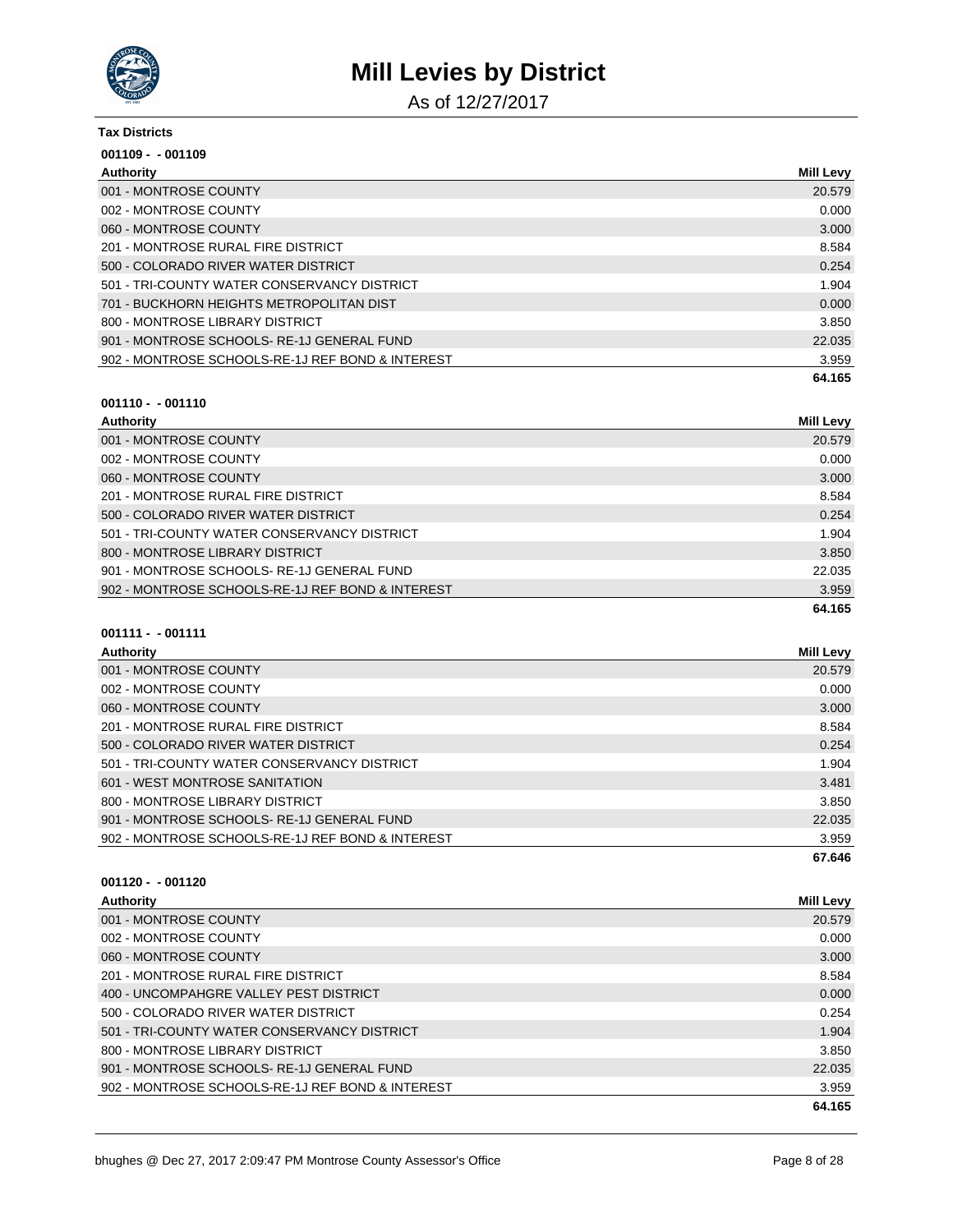

As of 12/27/2017

#### **Tax Districts**

| $001109 - 001109$                                |                  |
|--------------------------------------------------|------------------|
| Authority                                        | <b>Mill Levy</b> |
| 001 - MONTROSE COUNTY                            | 20.579           |
| 002 - MONTROSE COUNTY                            | 0.000            |
| 060 - MONTROSE COUNTY                            | 3.000            |
| 201 - MONTROSE RURAL FIRE DISTRICT               | 8.584            |
| 500 - COLORADO RIVER WATER DISTRICT              | 0.254            |
| 501 - TRI-COUNTY WATER CONSERVANCY DISTRICT      | 1.904            |
| 701 - BUCKHORN HEIGHTS METROPOLITAN DIST         | 0.000            |
| 800 - MONTROSE LIBRARY DISTRICT                  | 3.850            |
| 901 - MONTROSE SCHOOLS-RE-1J GENERAL FUND        | 22.035           |
| 902 - MONTROSE SCHOOLS-RE-1J REF BOND & INTEREST | 3.959            |
|                                                  | 64.165           |

#### **001110 - - 001110**

| Authority                                        | Mill Levy |
|--------------------------------------------------|-----------|
| 001 - MONTROSE COUNTY                            | 20.579    |
| 002 - MONTROSE COUNTY                            | 0.000     |
| 060 - MONTROSE COUNTY                            | 3.000     |
| 201 - MONTROSE RURAL FIRE DISTRICT               | 8.584     |
| 500 - COLORADO RIVER WATER DISTRICT              | 0.254     |
| 501 - TRI-COUNTY WATER CONSERVANCY DISTRICT      | 1.904     |
| 800 - MONTROSE LIBRARY DISTRICT                  | 3.850     |
| 901 - MONTROSE SCHOOLS-RE-1J GENERAL FUND        | 22.035    |
| 902 - MONTROSE SCHOOLS-RE-1J REF BOND & INTEREST | 3.959     |
|                                                  | 64.165    |

### **001111 - - 001111**

| Authority                                        | <b>Mill Levy</b> |
|--------------------------------------------------|------------------|
| 001 - MONTROSE COUNTY                            | 20.579           |
| 002 - MONTROSE COUNTY                            | 0.000            |
| 060 - MONTROSE COUNTY                            | 3.000            |
| 201 - MONTROSE RURAL FIRE DISTRICT               | 8.584            |
| 500 - COLORADO RIVER WATER DISTRICT              | 0.254            |
| 501 - TRI-COUNTY WATER CONSERVANCY DISTRICT      | 1.904            |
| 601 - WEST MONTROSE SANITATION                   | 3.481            |
| 800 - MONTROSE LIBRARY DISTRICT                  | 3.850            |
| 901 - MONTROSE SCHOOLS-RE-1J GENERAL FUND        | 22.035           |
| 902 - MONTROSE SCHOOLS-RE-1J REF BOND & INTEREST | 3.959            |
|                                                  | 67.646           |

| Authority                                        | <b>Mill Levy</b> |
|--------------------------------------------------|------------------|
| 001 - MONTROSE COUNTY                            | 20.579           |
| 002 - MONTROSE COUNTY                            | 0.000            |
| 060 - MONTROSE COUNTY                            | 3.000            |
| 201 - MONTROSE RURAL FIRE DISTRICT               | 8.584            |
| 400 - UNCOMPAHGRE VALLEY PEST DISTRICT           | 0.000            |
| 500 - COLORADO RIVER WATER DISTRICT              | 0.254            |
| 501 - TRI-COUNTY WATER CONSERVANCY DISTRICT      | 1.904            |
| 800 - MONTROSE LIBRARY DISTRICT                  | 3.850            |
| 901 - MONTROSE SCHOOLS-RE-1J GENERAL FUND        | 22.035           |
| 902 - MONTROSE SCHOOLS-RE-1J REF BOND & INTEREST | 3.959            |
|                                                  | 64.165           |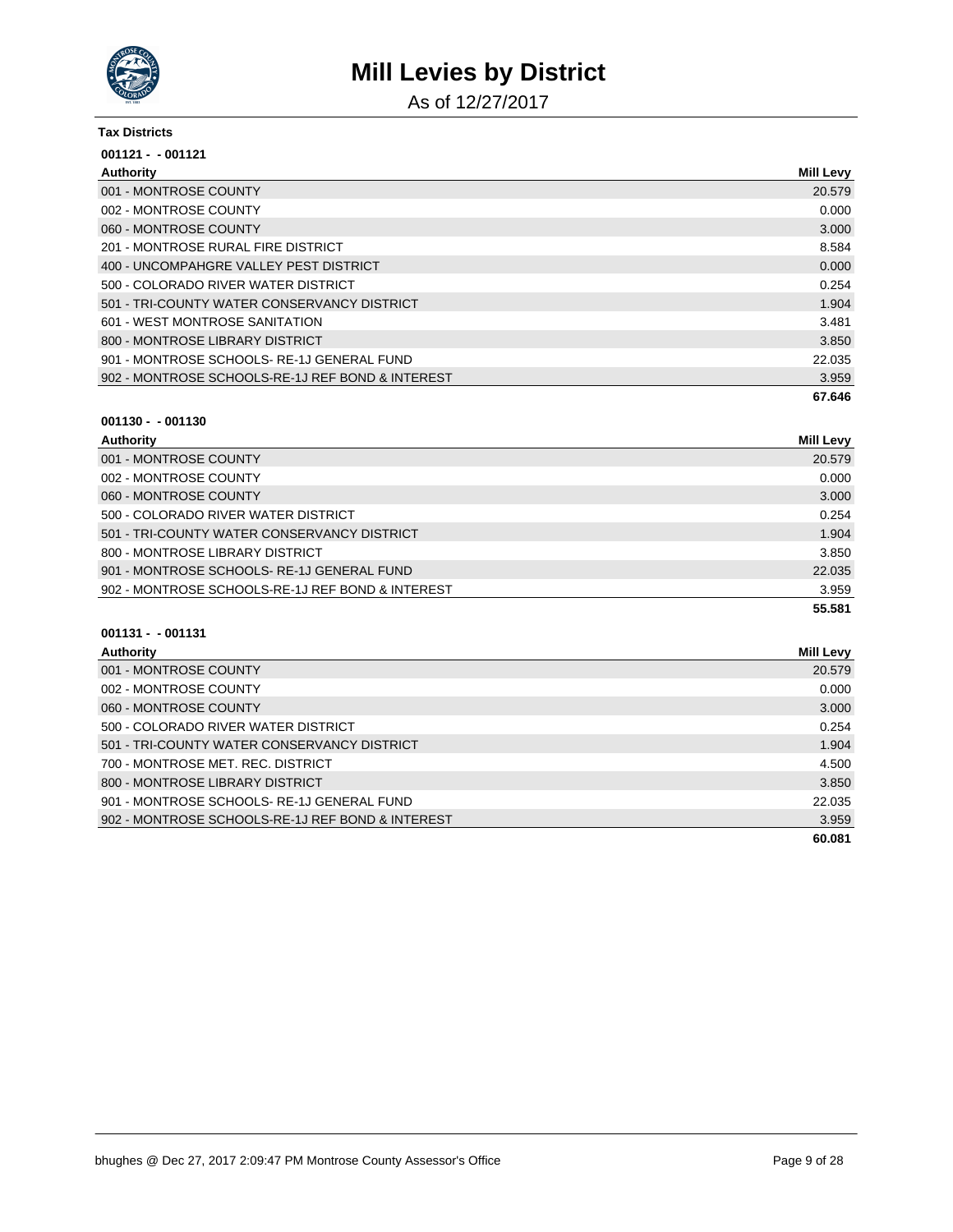

As of 12/27/2017

#### **Tax Districts**

| $001121 - 001121$                                |                  |
|--------------------------------------------------|------------------|
| Authority                                        | <b>Mill Levy</b> |
| 001 - MONTROSE COUNTY                            | 20.579           |
| 002 - MONTROSE COUNTY                            | 0.000            |
| 060 - MONTROSE COUNTY                            | 3.000            |
| 201 - MONTROSE RURAL FIRE DISTRICT               | 8.584            |
| 400 - UNCOMPAHGRE VALLEY PEST DISTRICT           | 0.000            |
| 500 - COLORADO RIVER WATER DISTRICT              | 0.254            |
| 501 - TRI-COUNTY WATER CONSERVANCY DISTRICT      | 1.904            |
| 601 - WEST MONTROSE SANITATION                   | 3.481            |
| 800 - MONTROSE LIBRARY DISTRICT                  | 3.850            |
| 901 - MONTROSE SCHOOLS-RE-1J GENERAL FUND        | 22.035           |
| 902 - MONTROSE SCHOOLS-RE-1J REF BOND & INTEREST | 3.959            |
|                                                  | 67.646           |

#### **001130 - - 001130**

| Authority                                        | <b>Mill Levy</b> |
|--------------------------------------------------|------------------|
| 001 - MONTROSE COUNTY                            | 20.579           |
| 002 - MONTROSE COUNTY                            | 0.000            |
| 060 - MONTROSE COUNTY                            | 3.000            |
| 500 - COLORADO RIVER WATER DISTRICT              | 0.254            |
| 501 - TRI-COUNTY WATER CONSERVANCY DISTRICT      | 1.904            |
| 800 - MONTROSE LIBRARY DISTRICT                  | 3.850            |
| 901 - MONTROSE SCHOOLS-RE-1J GENERAL FUND        | 22.035           |
| 902 - MONTROSE SCHOOLS-RE-1J REF BOND & INTEREST | 3.959            |
|                                                  | 55.581           |

| Authority                                        | <b>Mill Levy</b> |
|--------------------------------------------------|------------------|
| 001 - MONTROSE COUNTY                            | 20.579           |
| 002 - MONTROSE COUNTY                            | 0.000            |
| 060 - MONTROSE COUNTY                            | 3.000            |
| 500 - COLORADO RIVER WATER DISTRICT              | 0.254            |
| 501 - TRI-COUNTY WATER CONSERVANCY DISTRICT      | 1.904            |
| 700 - MONTROSE MET. REC. DISTRICT                | 4.500            |
| 800 - MONTROSE LIBRARY DISTRICT                  | 3.850            |
| 901 - MONTROSE SCHOOLS-RE-1J GENERAL FUND        | 22.035           |
| 902 - MONTROSE SCHOOLS-RE-1J REF BOND & INTEREST | 3.959            |
|                                                  | 60.081           |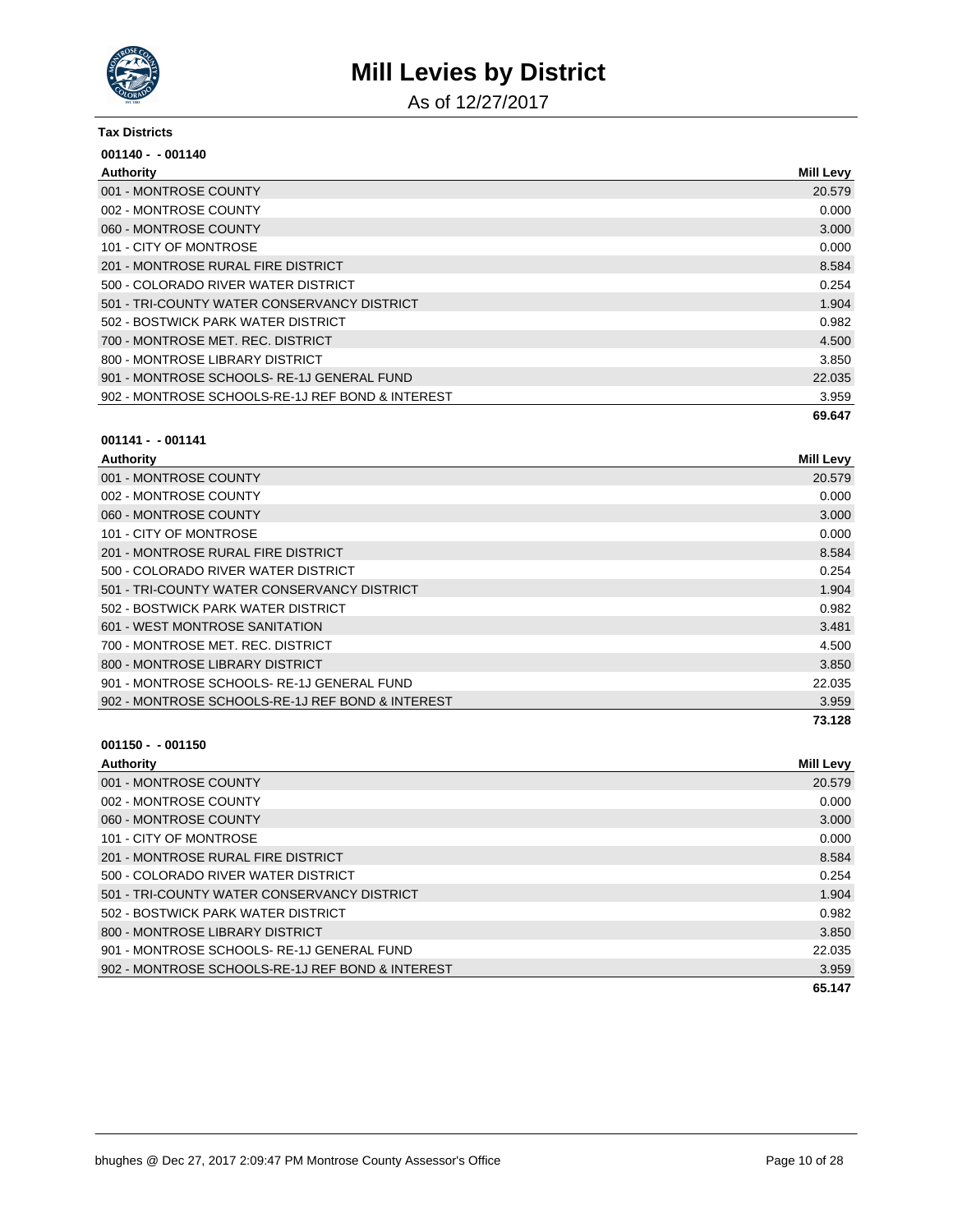

As of 12/27/2017

#### **Tax Districts**

| $001140 - 001140$                                |                  |
|--------------------------------------------------|------------------|
| Authority                                        | <b>Mill Levy</b> |
| 001 - MONTROSE COUNTY                            | 20.579           |
| 002 - MONTROSE COUNTY                            | 0.000            |
| 060 - MONTROSE COUNTY                            | 3.000            |
| 101 - CITY OF MONTROSE                           | 0.000            |
| 201 - MONTROSE RURAL FIRE DISTRICT               | 8.584            |
| 500 - COLORADO RIVER WATER DISTRICT              | 0.254            |
| 501 - TRI-COUNTY WATER CONSERVANCY DISTRICT      | 1.904            |
| 502 - BOSTWICK PARK WATER DISTRICT               | 0.982            |
| 700 - MONTROSE MET. REC. DISTRICT                | 4.500            |
| 800 - MONTROSE LIBRARY DISTRICT                  | 3.850            |
| 901 - MONTROSE SCHOOLS-RE-1J GENERAL FUND        | 22.035           |
| 902 - MONTROSE SCHOOLS-RE-1J REF BOND & INTEREST | 3.959            |
|                                                  | 69.647           |

#### **001141 - - 001141**

| Authority                                        | <b>Mill Levy</b> |
|--------------------------------------------------|------------------|
| 001 - MONTROSE COUNTY                            | 20.579           |
| 002 - MONTROSE COUNTY                            | 0.000            |
| 060 - MONTROSE COUNTY                            | 3.000            |
| 101 - CITY OF MONTROSE                           | 0.000            |
| 201 - MONTROSE RURAL FIRE DISTRICT               | 8.584            |
| 500 - COLORADO RIVER WATER DISTRICT              | 0.254            |
| 501 - TRI-COUNTY WATER CONSERVANCY DISTRICT      | 1.904            |
| 502 - BOSTWICK PARK WATER DISTRICT               | 0.982            |
| 601 - WEST MONTROSE SANITATION                   | 3.481            |
| 700 - MONTROSE MET. REC. DISTRICT                | 4.500            |
| 800 - MONTROSE LIBRARY DISTRICT                  | 3.850            |
| 901 - MONTROSE SCHOOLS-RE-1J GENERAL FUND        | 22.035           |
| 902 - MONTROSE SCHOOLS-RE-1J REF BOND & INTEREST | 3.959            |
|                                                  | 73.128           |

| Authority                                        | <b>Mill Levy</b> |
|--------------------------------------------------|------------------|
| 001 - MONTROSE COUNTY                            | 20.579           |
| 002 - MONTROSE COUNTY                            | 0.000            |
| 060 - MONTROSE COUNTY                            | 3.000            |
| 101 - CITY OF MONTROSE                           | 0.000            |
| 201 - MONTROSE RURAL FIRE DISTRICT               | 8.584            |
| 500 - COLORADO RIVER WATER DISTRICT              | 0.254            |
| 501 - TRI-COUNTY WATER CONSERVANCY DISTRICT      | 1.904            |
| 502 - BOSTWICK PARK WATER DISTRICT               | 0.982            |
| 800 - MONTROSE LIBRARY DISTRICT                  | 3.850            |
| 901 - MONTROSE SCHOOLS-RE-1J GENERAL FUND        | 22.035           |
| 902 - MONTROSE SCHOOLS-RE-1J REF BOND & INTEREST | 3.959            |
|                                                  | 65.147           |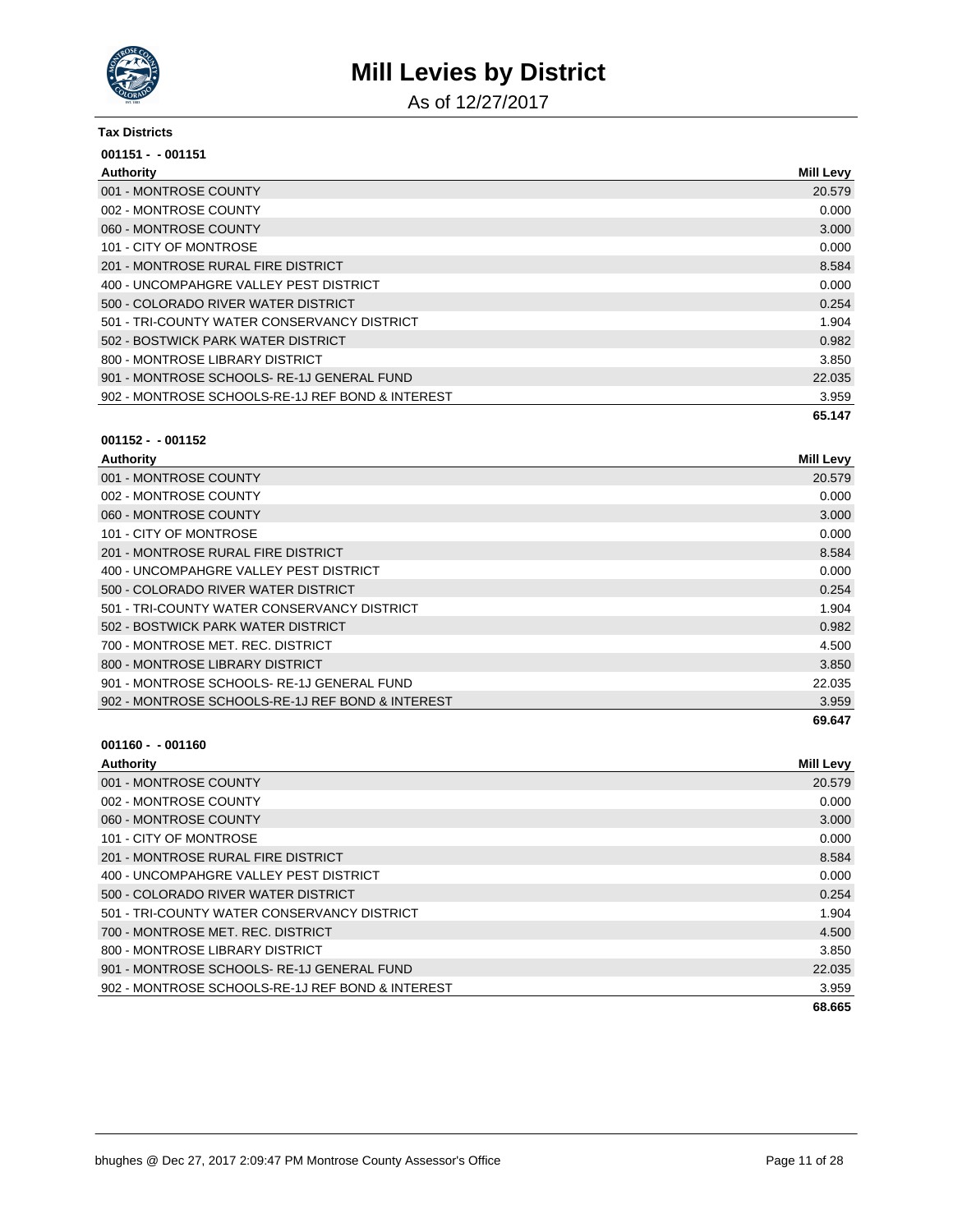

As of 12/27/2017

#### **Tax Districts**

| $001151 - 001151$                                |                  |
|--------------------------------------------------|------------------|
| Authority                                        | <b>Mill Levy</b> |
| 001 - MONTROSE COUNTY                            | 20.579           |
| 002 - MONTROSE COUNTY                            | 0.000            |
| 060 - MONTROSE COUNTY                            | 3.000            |
| 101 - CITY OF MONTROSE                           | 0.000            |
| 201 - MONTROSE RURAL FIRE DISTRICT               | 8.584            |
| 400 - UNCOMPAHGRE VALLEY PEST DISTRICT           | 0.000            |
| 500 - COLORADO RIVER WATER DISTRICT              | 0.254            |
| 501 - TRI-COUNTY WATER CONSERVANCY DISTRICT      | 1.904            |
| 502 - BOSTWICK PARK WATER DISTRICT               | 0.982            |
| 800 - MONTROSE LIBRARY DISTRICT                  | 3.850            |
| 901 - MONTROSE SCHOOLS-RE-1J GENERAL FUND        | 22.035           |
| 902 - MONTROSE SCHOOLS-RE-1J REF BOND & INTEREST | 3.959            |
|                                                  | 65.147           |

#### **001152 - - 001152**

| Authority                                        | <b>Mill Levy</b> |
|--------------------------------------------------|------------------|
| 001 - MONTROSE COUNTY                            | 20.579           |
| 002 - MONTROSE COUNTY                            | 0.000            |
| 060 - MONTROSE COUNTY                            | 3.000            |
| 101 - CITY OF MONTROSE                           | 0.000            |
| 201 - MONTROSE RURAL FIRE DISTRICT               | 8.584            |
| 400 - UNCOMPAHGRE VALLEY PEST DISTRICT           | 0.000            |
| 500 - COLORADO RIVER WATER DISTRICT              | 0.254            |
| 501 - TRI-COUNTY WATER CONSERVANCY DISTRICT      | 1.904            |
| 502 - BOSTWICK PARK WATER DISTRICT               | 0.982            |
| 700 - MONTROSE MET. REC. DISTRICT                | 4.500            |
| 800 - MONTROSE LIBRARY DISTRICT                  | 3.850            |
| 901 - MONTROSE SCHOOLS-RE-1J GENERAL FUND        | 22.035           |
| 902 - MONTROSE SCHOOLS-RE-1J REF BOND & INTEREST | 3.959            |
|                                                  | 69.647           |

| Authority                                        | <b>Mill Levy</b> |
|--------------------------------------------------|------------------|
| 001 - MONTROSE COUNTY                            | 20.579           |
| 002 - MONTROSE COUNTY                            | 0.000            |
| 060 - MONTROSE COUNTY                            | 3.000            |
| 101 - CITY OF MONTROSE                           | 0.000            |
| 201 - MONTROSE RURAL FIRE DISTRICT               | 8.584            |
| 400 - UNCOMPAHGRE VALLEY PEST DISTRICT           | 0.000            |
| 500 - COLORADO RIVER WATER DISTRICT              | 0.254            |
| 501 - TRI-COUNTY WATER CONSERVANCY DISTRICT      | 1.904            |
| 700 - MONTROSE MET. REC. DISTRICT                | 4.500            |
| 800 - MONTROSE LIBRARY DISTRICT                  | 3.850            |
| 901 - MONTROSE SCHOOLS-RE-1J GENERAL FUND        | 22.035           |
| 902 - MONTROSE SCHOOLS-RE-1J REF BOND & INTEREST | 3.959            |
|                                                  | 68.665           |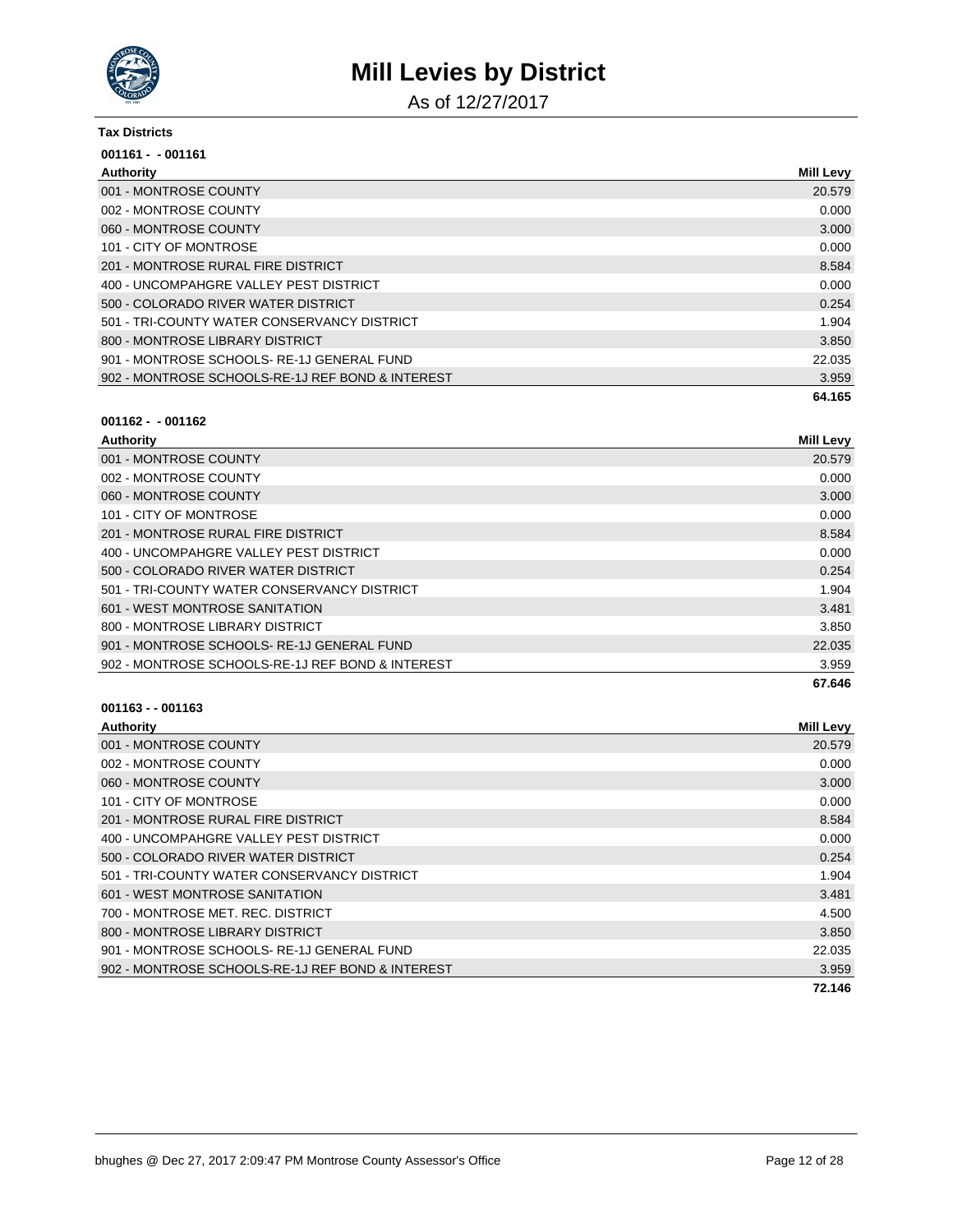

As of 12/27/2017

#### **Tax Districts**

| $001161 - 001161$                                |                  |
|--------------------------------------------------|------------------|
| Authority                                        | <b>Mill Levy</b> |
| 001 - MONTROSE COUNTY                            | 20.579           |
| 002 - MONTROSE COUNTY                            | 0.000            |
| 060 - MONTROSE COUNTY                            | 3.000            |
| 101 - CITY OF MONTROSE                           | 0.000            |
| 201 - MONTROSE RURAL FIRE DISTRICT               | 8.584            |
| 400 - UNCOMPAHGRE VALLEY PEST DISTRICT           | 0.000            |
| 500 - COLORADO RIVER WATER DISTRICT              | 0.254            |
| 501 - TRI-COUNTY WATER CONSERVANCY DISTRICT      | 1.904            |
| 800 - MONTROSE LIBRARY DISTRICT                  | 3.850            |
| 901 - MONTROSE SCHOOLS-RE-1J GENERAL FUND        | 22.035           |
| 902 - MONTROSE SCHOOLS-RE-1J REF BOND & INTEREST | 3.959            |
|                                                  | 64.165           |

#### **001162 - - 001162**

| Authority                                        | <b>Mill Levy</b> |
|--------------------------------------------------|------------------|
| 001 - MONTROSE COUNTY                            | 20.579           |
| 002 - MONTROSE COUNTY                            | 0.000            |
| 060 - MONTROSE COUNTY                            | 3.000            |
| 101 - CITY OF MONTROSE                           | 0.000            |
| 201 - MONTROSE RURAL FIRE DISTRICT               | 8.584            |
| 400 - UNCOMPAHGRE VALLEY PEST DISTRICT           | 0.000            |
| 500 - COLORADO RIVER WATER DISTRICT              | 0.254            |
| 501 - TRI-COUNTY WATER CONSERVANCY DISTRICT      | 1.904            |
| 601 - WEST MONTROSE SANITATION                   | 3.481            |
| 800 - MONTROSE LIBRARY DISTRICT                  | 3.850            |
| 901 - MONTROSE SCHOOLS-RE-1J GENERAL FUND        | 22.035           |
| 902 - MONTROSE SCHOOLS-RE-1J REF BOND & INTEREST | 3.959            |
|                                                  | 67.646           |

| Authority                                        | <b>Mill Levy</b> |
|--------------------------------------------------|------------------|
| 001 - MONTROSE COUNTY                            | 20.579           |
| 002 - MONTROSE COUNTY                            | 0.000            |
| 060 - MONTROSE COUNTY                            | 3.000            |
| 101 - CITY OF MONTROSE                           | 0.000            |
| 201 - MONTROSE RURAL FIRE DISTRICT               | 8.584            |
| 400 - UNCOMPAHGRE VALLEY PEST DISTRICT           | 0.000            |
| 500 - COLORADO RIVER WATER DISTRICT              | 0.254            |
| 501 - TRI-COUNTY WATER CONSERVANCY DISTRICT      | 1.904            |
| 601 - WEST MONTROSE SANITATION                   | 3.481            |
| 700 - MONTROSE MET. REC. DISTRICT                | 4.500            |
| 800 - MONTROSE LIBRARY DISTRICT                  | 3.850            |
| 901 - MONTROSE SCHOOLS-RE-1J GENERAL FUND        | 22.035           |
| 902 - MONTROSE SCHOOLS-RE-1J REF BOND & INTEREST | 3.959            |
|                                                  | 72.146           |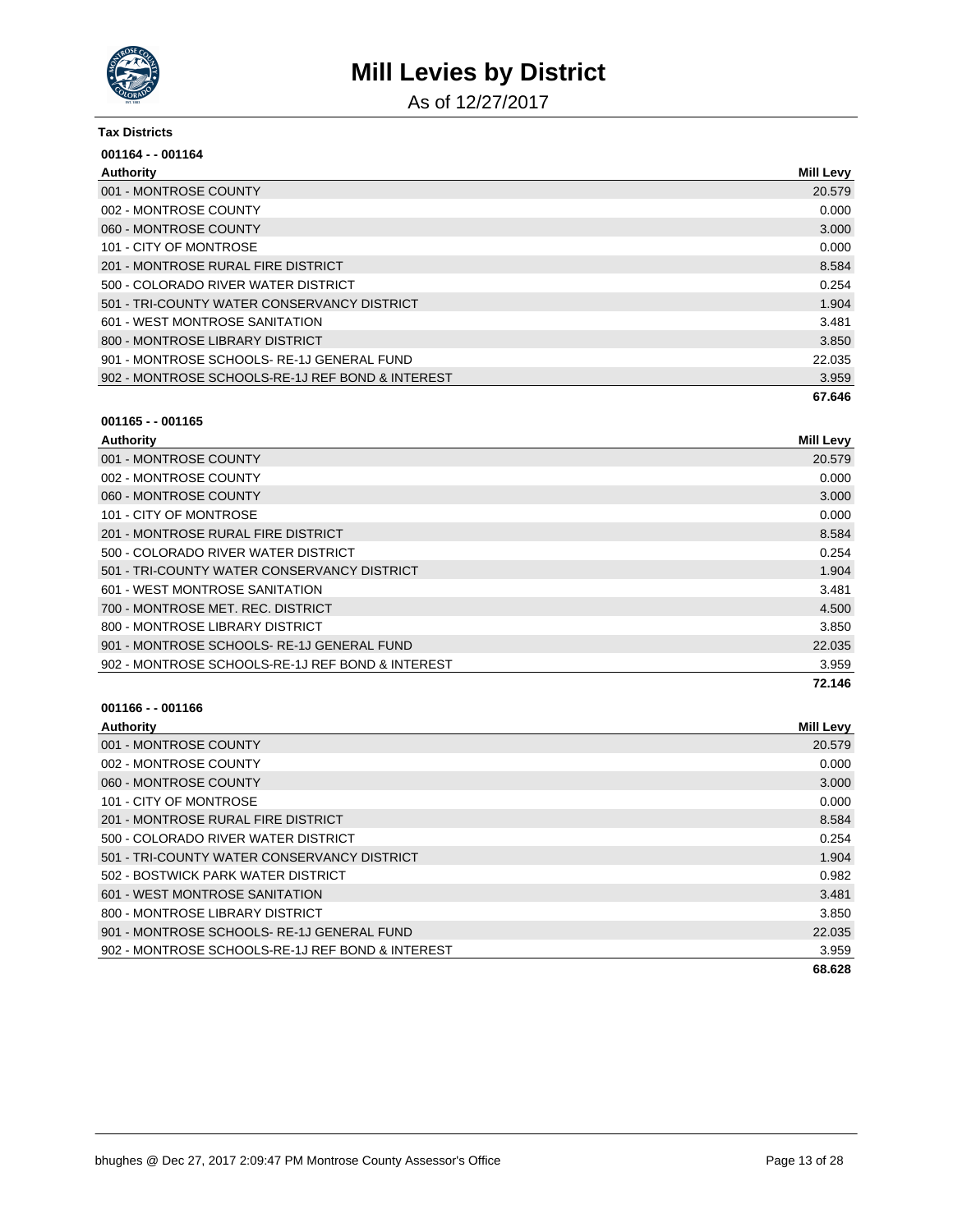

As of 12/27/2017

#### **Tax Districts**

| 001164 - - 001164                                |                  |
|--------------------------------------------------|------------------|
| Authority                                        | <b>Mill Levy</b> |
| 001 - MONTROSE COUNTY                            | 20.579           |
| 002 - MONTROSE COUNTY                            | 0.000            |
| 060 - MONTROSE COUNTY                            | 3.000            |
| 101 - CITY OF MONTROSE                           | 0.000            |
| 201 - MONTROSE RURAL FIRE DISTRICT               | 8.584            |
| 500 - COLORADO RIVER WATER DISTRICT              | 0.254            |
| 501 - TRI-COUNTY WATER CONSERVANCY DISTRICT      | 1.904            |
| 601 - WEST MONTROSE SANITATION                   | 3.481            |
| 800 - MONTROSE LIBRARY DISTRICT                  | 3.850            |
| 901 - MONTROSE SCHOOLS-RE-1J GENERAL FUND        | 22.035           |
| 902 - MONTROSE SCHOOLS-RE-1J REF BOND & INTEREST | 3.959            |
|                                                  | 67.646           |

#### **001165 - - 001165**

| <b>Authority</b>                                 | <b>Mill Levy</b> |
|--------------------------------------------------|------------------|
| 001 - MONTROSE COUNTY                            | 20.579           |
| 002 - MONTROSE COUNTY                            | 0.000            |
| 060 - MONTROSE COUNTY                            | 3.000            |
| 101 - CITY OF MONTROSE                           | 0.000            |
| 201 - MONTROSE RURAL FIRE DISTRICT               | 8.584            |
| 500 - COLORADO RIVER WATER DISTRICT              | 0.254            |
| 501 - TRI-COUNTY WATER CONSERVANCY DISTRICT      | 1.904            |
| 601 - WEST MONTROSE SANITATION                   | 3.481            |
| 700 - MONTROSE MET, REC. DISTRICT                | 4.500            |
| 800 - MONTROSE LIBRARY DISTRICT                  | 3.850            |
| 901 - MONTROSE SCHOOLS-RE-1J GENERAL FUND        | 22.035           |
| 902 - MONTROSE SCHOOLS-RE-1J REF BOND & INTEREST | 3.959            |
|                                                  | 72.146           |

| Authority                                        | <b>Mill Levy</b> |
|--------------------------------------------------|------------------|
| 001 - MONTROSE COUNTY                            | 20.579           |
| 002 - MONTROSE COUNTY                            | 0.000            |
| 060 - MONTROSE COUNTY                            | 3.000            |
| 101 - CITY OF MONTROSE                           | 0.000            |
| 201 - MONTROSE RURAL FIRE DISTRICT               | 8.584            |
| 500 - COLORADO RIVER WATER DISTRICT              | 0.254            |
| 501 - TRI-COUNTY WATER CONSERVANCY DISTRICT      | 1.904            |
| 502 - BOSTWICK PARK WATER DISTRICT               | 0.982            |
| 601 - WEST MONTROSE SANITATION                   | 3.481            |
| 800 - MONTROSE LIBRARY DISTRICT                  | 3.850            |
| 901 - MONTROSE SCHOOLS-RE-1J GENERAL FUND        | 22.035           |
| 902 - MONTROSE SCHOOLS-RE-1J REF BOND & INTEREST | 3.959            |
|                                                  | 68.628           |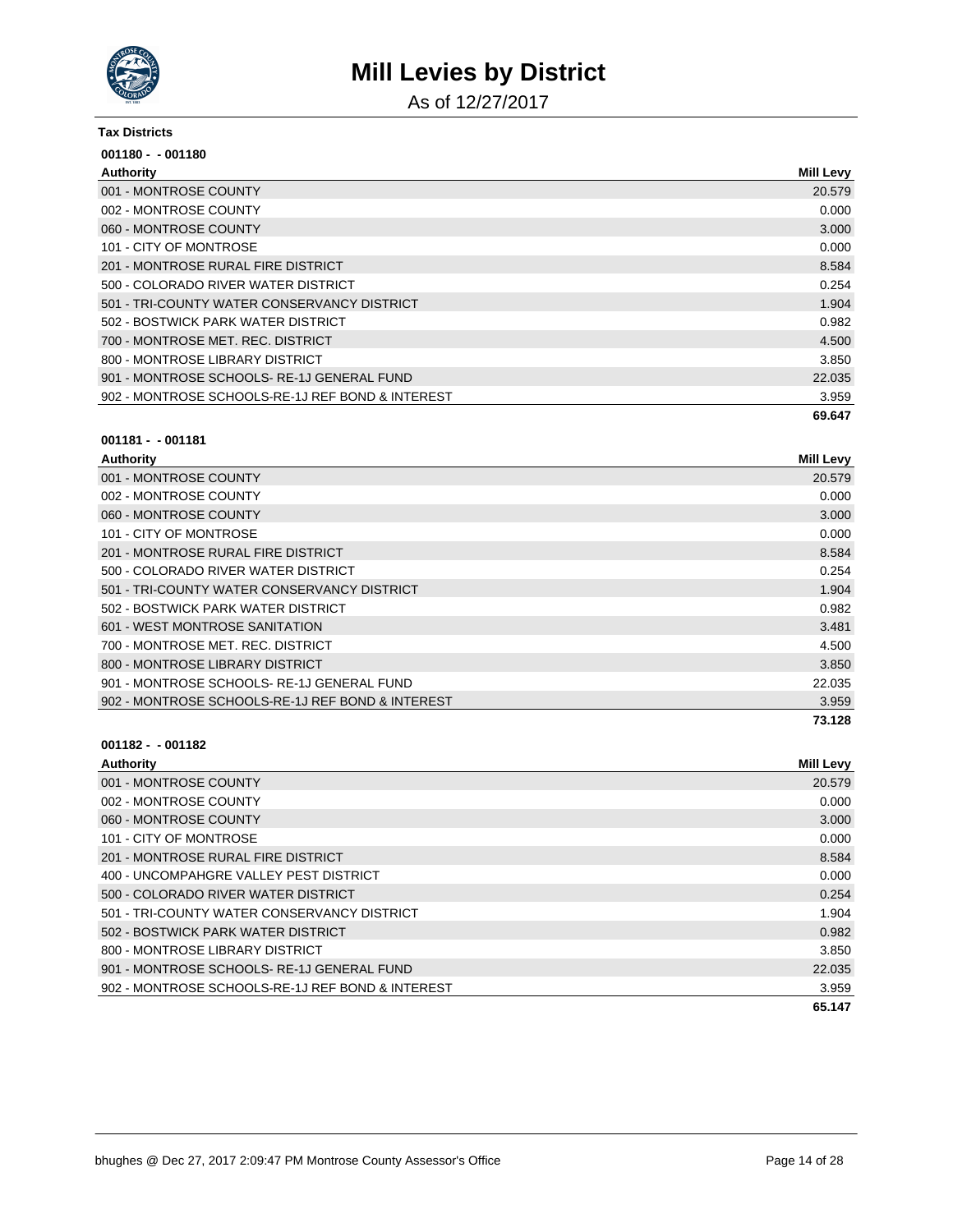

As of 12/27/2017

#### **Tax Districts**

| $001180 - 001180$                                |                  |
|--------------------------------------------------|------------------|
| Authority                                        | <b>Mill Levy</b> |
| 001 - MONTROSE COUNTY                            | 20.579           |
| 002 - MONTROSE COUNTY                            | 0.000            |
| 060 - MONTROSE COUNTY                            | 3.000            |
| 101 - CITY OF MONTROSE                           | 0.000            |
| 201 - MONTROSE RURAL FIRE DISTRICT               | 8.584            |
| 500 - COLORADO RIVER WATER DISTRICT              | 0.254            |
| 501 - TRI-COUNTY WATER CONSERVANCY DISTRICT      | 1.904            |
| 502 - BOSTWICK PARK WATER DISTRICT               | 0.982            |
| 700 - MONTROSE MET. REC. DISTRICT                | 4.500            |
| 800 - MONTROSE LIBRARY DISTRICT                  | 3.850            |
| 901 - MONTROSE SCHOOLS-RE-1J GENERAL FUND        | 22.035           |
| 902 - MONTROSE SCHOOLS-RE-1J REF BOND & INTEREST | 3.959            |
|                                                  | 69.647           |

#### **001181 - - 001181**

| Authority                                        | <b>Mill Levy</b> |
|--------------------------------------------------|------------------|
| 001 - MONTROSE COUNTY                            | 20.579           |
| 002 - MONTROSE COUNTY                            | 0.000            |
| 060 - MONTROSE COUNTY                            | 3.000            |
| 101 - CITY OF MONTROSE                           | 0.000            |
| 201 - MONTROSE RURAL FIRE DISTRICT               | 8.584            |
| 500 - COLORADO RIVER WATER DISTRICT              | 0.254            |
| 501 - TRI-COUNTY WATER CONSERVANCY DISTRICT      | 1.904            |
| 502 - BOSTWICK PARK WATER DISTRICT               | 0.982            |
| 601 - WEST MONTROSE SANITATION                   | 3.481            |
| 700 - MONTROSE MET. REC. DISTRICT                | 4.500            |
| 800 - MONTROSE LIBRARY DISTRICT                  | 3.850            |
| 901 - MONTROSE SCHOOLS-RE-1J GENERAL FUND        | 22.035           |
| 902 - MONTROSE SCHOOLS-RE-1J REF BOND & INTEREST | 3.959            |
|                                                  | 73.128           |

| <b>Mill Levy</b> |
|------------------|
| 20.579           |
| 0.000            |
| 3.000            |
| 0.000            |
| 8.584            |
| 0.000            |
| 0.254            |
| 1.904            |
| 0.982            |
| 3.850            |
| 22.035           |
| 3.959            |
| 65.147           |
|                  |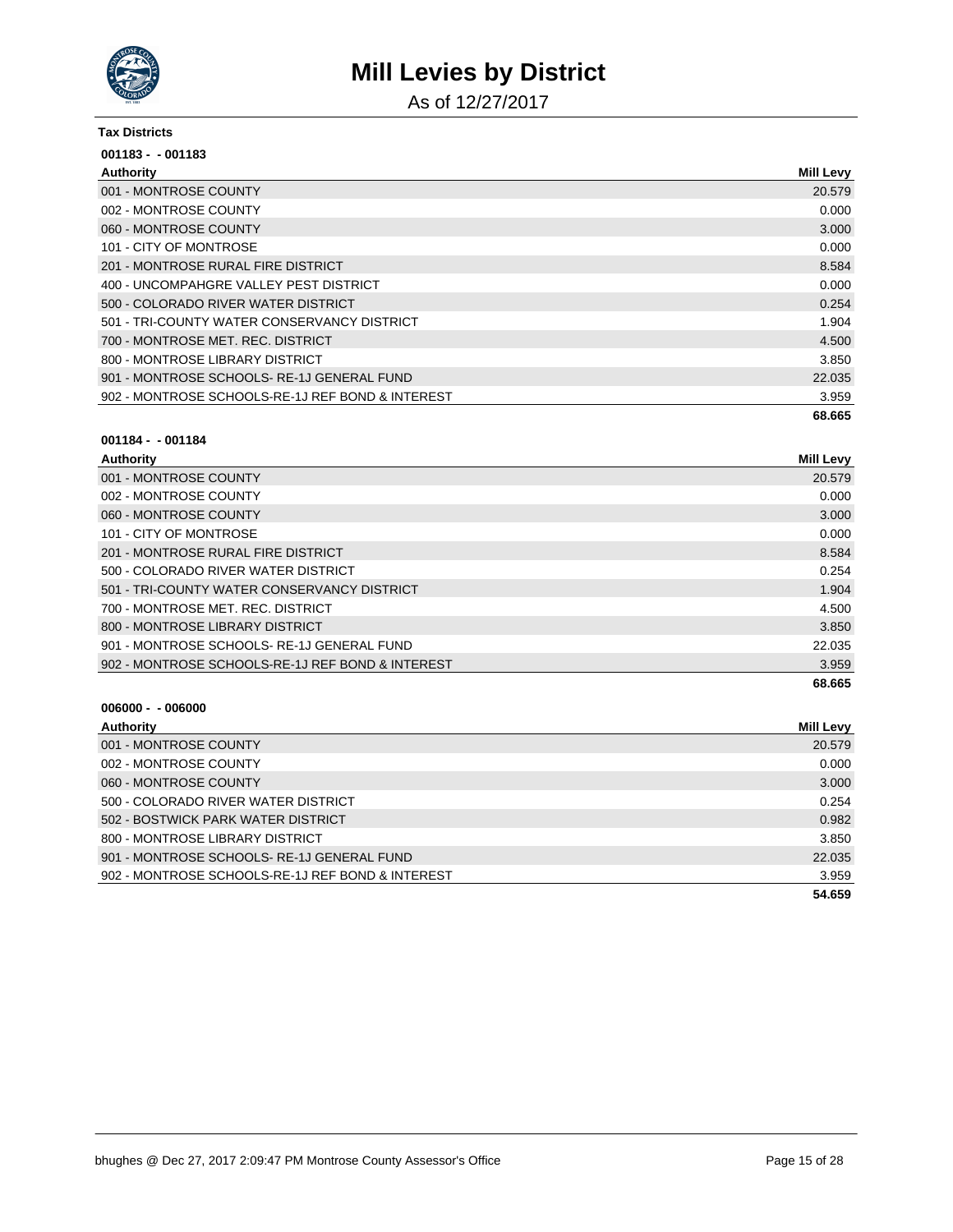

As of 12/27/2017

#### **Tax Districts**

| $001183 - 001183$                                |                  |
|--------------------------------------------------|------------------|
| Authority                                        | <b>Mill Levy</b> |
| 001 - MONTROSE COUNTY                            | 20.579           |
| 002 - MONTROSE COUNTY                            | 0.000            |
| 060 - MONTROSE COUNTY                            | 3.000            |
| 101 - CITY OF MONTROSE                           | 0.000            |
| 201 - MONTROSE RURAL FIRE DISTRICT               | 8.584            |
| 400 - UNCOMPAHGRE VALLEY PEST DISTRICT           | 0.000            |
| 500 - COLORADO RIVER WATER DISTRICT              | 0.254            |
| 501 - TRI-COUNTY WATER CONSERVANCY DISTRICT      | 1.904            |
| 700 - MONTROSE MET. REC. DISTRICT                | 4.500            |
| 800 - MONTROSE LIBRARY DISTRICT                  | 3.850            |
| 901 - MONTROSE SCHOOLS-RE-1J GENERAL FUND        | 22.035           |
| 902 - MONTROSE SCHOOLS-RE-1J REF BOND & INTEREST | 3.959            |
|                                                  | 68.665           |

#### **001184 - - 001184**

| Authority                                        | <b>Mill Levy</b> |
|--------------------------------------------------|------------------|
| 001 - MONTROSE COUNTY                            | 20.579           |
| 002 - MONTROSE COUNTY                            | 0.000            |
| 060 - MONTROSE COUNTY                            | 3.000            |
| 101 - CITY OF MONTROSE                           | 0.000            |
| 201 - MONTROSE RURAL FIRE DISTRICT               | 8.584            |
| 500 - COLORADO RIVER WATER DISTRICT              | 0.254            |
| 501 - TRI-COUNTY WATER CONSERVANCY DISTRICT      | 1.904            |
| 700 - MONTROSE MET. REC. DISTRICT                | 4.500            |
| 800 - MONTROSE LIBRARY DISTRICT                  | 3.850            |
| 901 - MONTROSE SCHOOLS-RE-1J GENERAL FUND        | 22.035           |
| 902 - MONTROSE SCHOOLS-RE-1J REF BOND & INTEREST | 3.959            |
|                                                  | 68.665           |

| Authority                                        | Mill Levy |
|--------------------------------------------------|-----------|
| 001 - MONTROSE COUNTY                            | 20.579    |
| 002 - MONTROSE COUNTY                            | 0.000     |
| 060 - MONTROSE COUNTY                            | 3.000     |
| 500 - COLORADO RIVER WATER DISTRICT              | 0.254     |
| 502 - BOSTWICK PARK WATER DISTRICT               | 0.982     |
| 800 - MONTROSE LIBRARY DISTRICT                  | 3.850     |
| 901 - MONTROSE SCHOOLS-RE-1J GENERAL FUND        | 22.035    |
| 902 - MONTROSE SCHOOLS-RE-1J REF BOND & INTEREST | 3.959     |
|                                                  | 54.659    |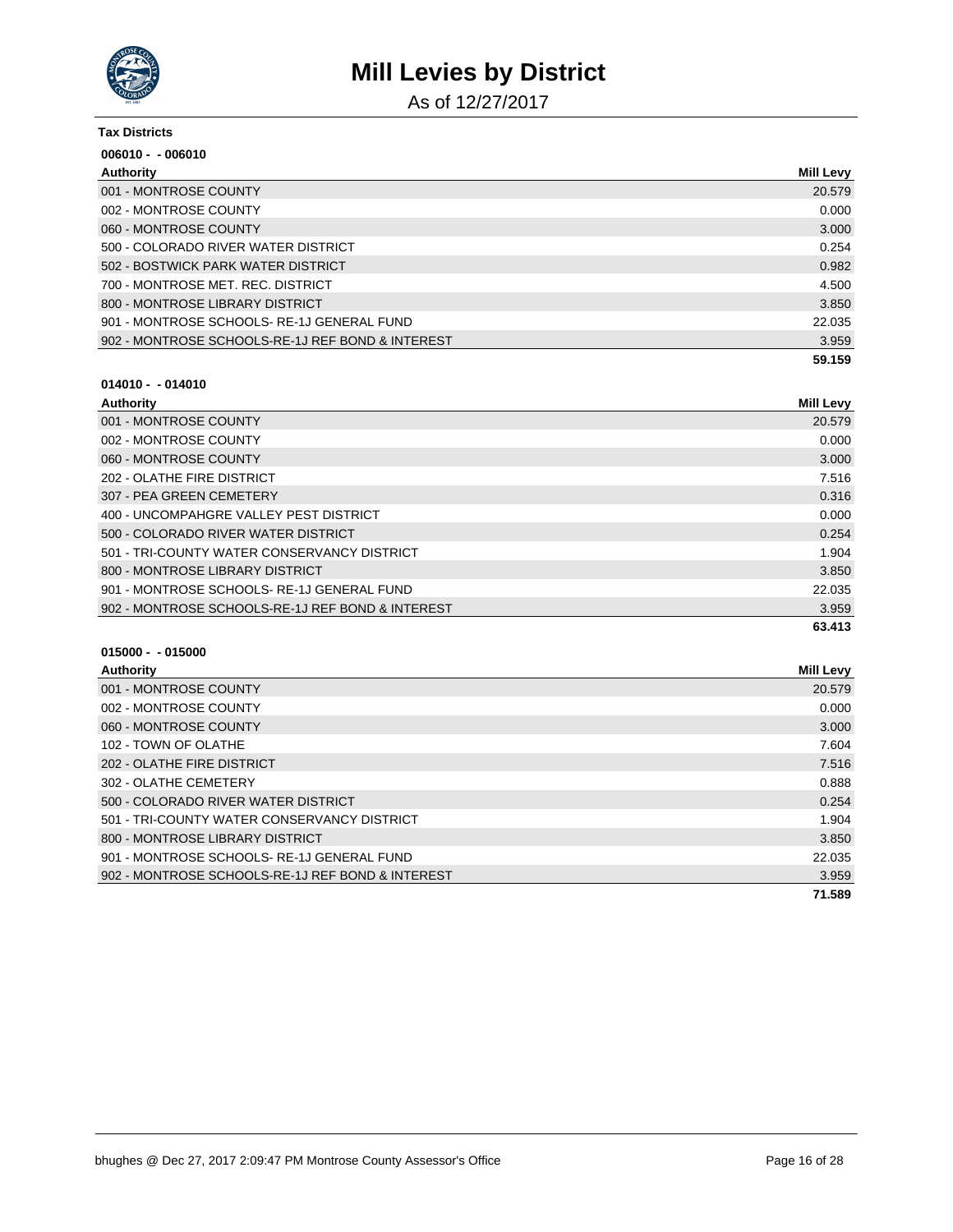

As of 12/27/2017

| <b>Tax Districts</b>                             |                  |
|--------------------------------------------------|------------------|
| $006010 - 006010$                                |                  |
| Authority                                        | <b>Mill Levy</b> |
| 001 - MONTROSE COUNTY                            | 20.579           |
| 002 - MONTROSE COUNTY                            | 0.000            |
| 060 - MONTROSE COUNTY                            | 3.000            |
| 500 - COLORADO RIVER WATER DISTRICT              | 0.254            |
| 502 - BOSTWICK PARK WATER DISTRICT               | 0.982            |
| 700 - MONTROSE MET. REC. DISTRICT                | 4.500            |
| 800 - MONTROSE LIBRARY DISTRICT                  | 3.850            |
| 901 - MONTROSE SCHOOLS-RE-1J GENERAL FUND        | 22.035           |
| 902 - MONTROSE SCHOOLS-RE-1J REF BOND & INTEREST | 3.959            |
|                                                  | 59.159           |

### **014010 - - 014010**

| Authority                                        | <b>Mill Levy</b> |
|--------------------------------------------------|------------------|
| 001 - MONTROSE COUNTY                            | 20.579           |
| 002 - MONTROSE COUNTY                            | 0.000            |
| 060 - MONTROSE COUNTY                            | 3.000            |
| 202 - OLATHE FIRE DISTRICT                       | 7.516            |
| 307 - PEA GREEN CEMETERY                         | 0.316            |
| 400 - UNCOMPAHGRE VALLEY PEST DISTRICT           | 0.000            |
| 500 - COLORADO RIVER WATER DISTRICT              | 0.254            |
| 501 - TRI-COUNTY WATER CONSERVANCY DISTRICT      | 1.904            |
| 800 - MONTROSE LIBRARY DISTRICT                  | 3.850            |
| 901 - MONTROSE SCHOOLS-RE-1J GENERAL FUND        | 22.035           |
| 902 - MONTROSE SCHOOLS-RE-1J REF BOND & INTEREST | 3.959            |
|                                                  | 63.413           |

| Authority                                        | <b>Mill Levy</b> |
|--------------------------------------------------|------------------|
| 001 - MONTROSE COUNTY                            | 20.579           |
| 002 - MONTROSE COUNTY                            | 0.000            |
| 060 - MONTROSE COUNTY                            | 3.000            |
| 102 - TOWN OF OLATHE                             | 7.604            |
| 202 - OLATHE FIRE DISTRICT                       | 7.516            |
| 302 - OLATHE CEMETERY                            | 0.888            |
| 500 - COLORADO RIVER WATER DISTRICT              | 0.254            |
| 501 - TRI-COUNTY WATER CONSERVANCY DISTRICT      | 1.904            |
| 800 - MONTROSE LIBRARY DISTRICT                  | 3.850            |
| 901 - MONTROSE SCHOOLS-RE-1J GENERAL FUND        | 22.035           |
| 902 - MONTROSE SCHOOLS-RE-1J REF BOND & INTEREST | 3.959            |
|                                                  | 71.589           |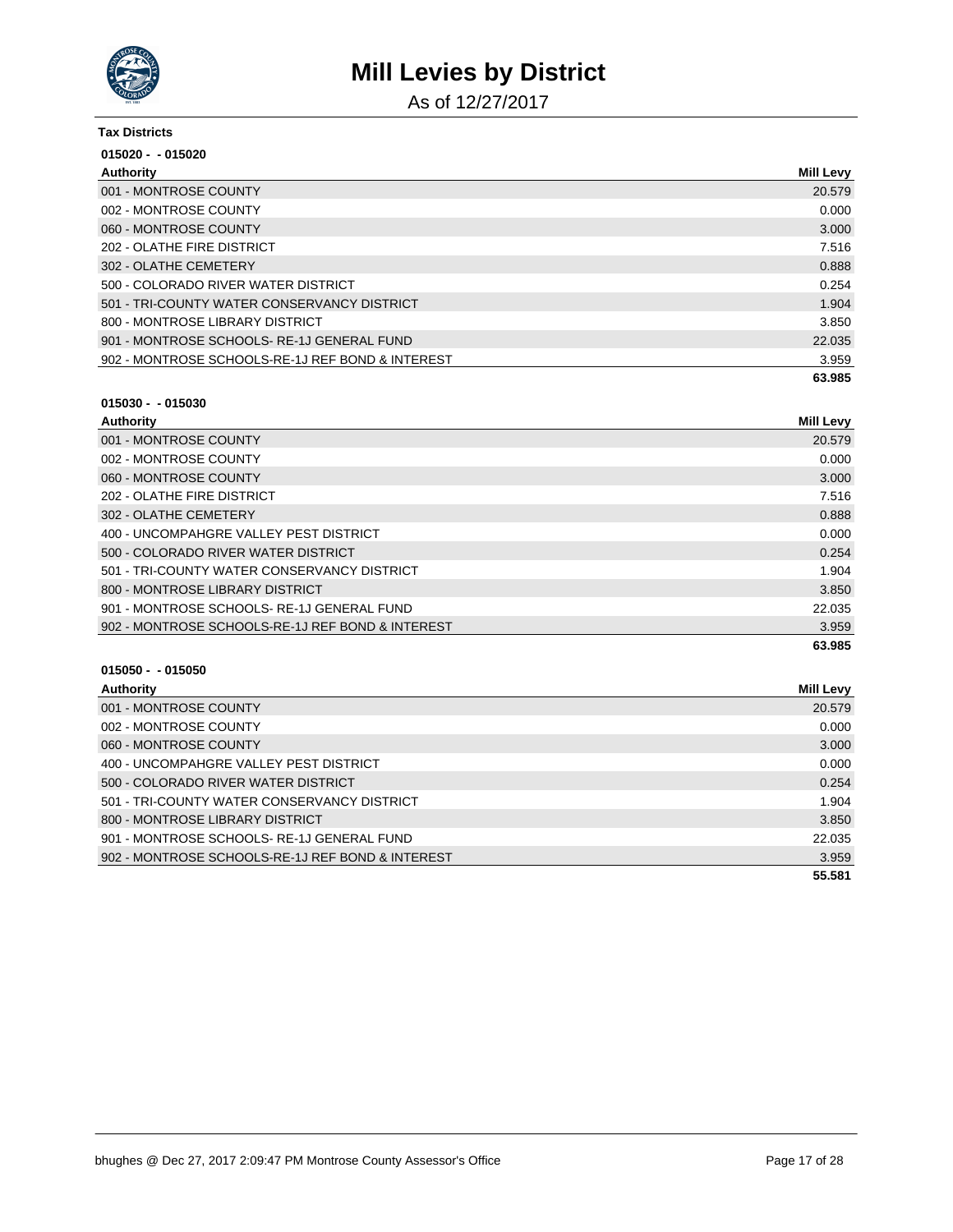

As of 12/27/2017

| <b>Tax Districts</b>                             |                  |
|--------------------------------------------------|------------------|
| $015020 - 015020$                                |                  |
| Authority                                        | <b>Mill Levy</b> |
| 001 - MONTROSE COUNTY                            | 20.579           |
| 002 - MONTROSE COUNTY                            | 0.000            |
| 060 - MONTROSE COUNTY                            | 3.000            |
| 202 - OLATHE FIRE DISTRICT                       | 7.516            |
| 302 - OLATHE CEMETERY                            | 0.888            |
| 500 - COLORADO RIVER WATER DISTRICT              | 0.254            |
| 501 - TRI-COUNTY WATER CONSERVANCY DISTRICT      | 1.904            |
| 800 - MONTROSE LIBRARY DISTRICT                  | 3.850            |
| 901 - MONTROSE SCHOOLS-RE-1J GENERAL FUND        | 22.035           |
| 902 - MONTROSE SCHOOLS-RE-1J REF BOND & INTEREST | 3.959            |
|                                                  | 63.985           |

#### **015030 - - 015030**

| Authority                                        | <b>Mill Levy</b> |
|--------------------------------------------------|------------------|
| 001 - MONTROSE COUNTY                            | 20.579           |
| 002 - MONTROSE COUNTY                            | 0.000            |
| 060 - MONTROSE COUNTY                            | 3.000            |
| 202 - OLATHE FIRE DISTRICT                       | 7.516            |
| 302 - OLATHE CEMETERY                            | 0.888            |
| 400 - UNCOMPAHGRE VALLEY PEST DISTRICT           | 0.000            |
| 500 - COLORADO RIVER WATER DISTRICT              | 0.254            |
| 501 - TRI-COUNTY WATER CONSERVANCY DISTRICT      | 1.904            |
| 800 - MONTROSE LIBRARY DISTRICT                  | 3.850            |
| 901 - MONTROSE SCHOOLS-RE-1J GENERAL FUND        | 22.035           |
| 902 - MONTROSE SCHOOLS-RE-1J REF BOND & INTEREST | 3.959            |
|                                                  | 63.985           |

| Authority                                        | Mill Levy |
|--------------------------------------------------|-----------|
| 001 - MONTROSE COUNTY                            | 20.579    |
| 002 - MONTROSE COUNTY                            | 0.000     |
| 060 - MONTROSE COUNTY                            | 3.000     |
| 400 - UNCOMPAHGRE VALLEY PEST DISTRICT           | 0.000     |
| 500 - COLORADO RIVER WATER DISTRICT              | 0.254     |
| 501 - TRI-COUNTY WATER CONSERVANCY DISTRICT      | 1.904     |
| 800 - MONTROSE LIBRARY DISTRICT                  | 3.850     |
| 901 - MONTROSE SCHOOLS-RE-1J GENERAL FUND        | 22.035    |
| 902 - MONTROSE SCHOOLS-RE-1J REF BOND & INTEREST | 3.959     |
|                                                  | 55.581    |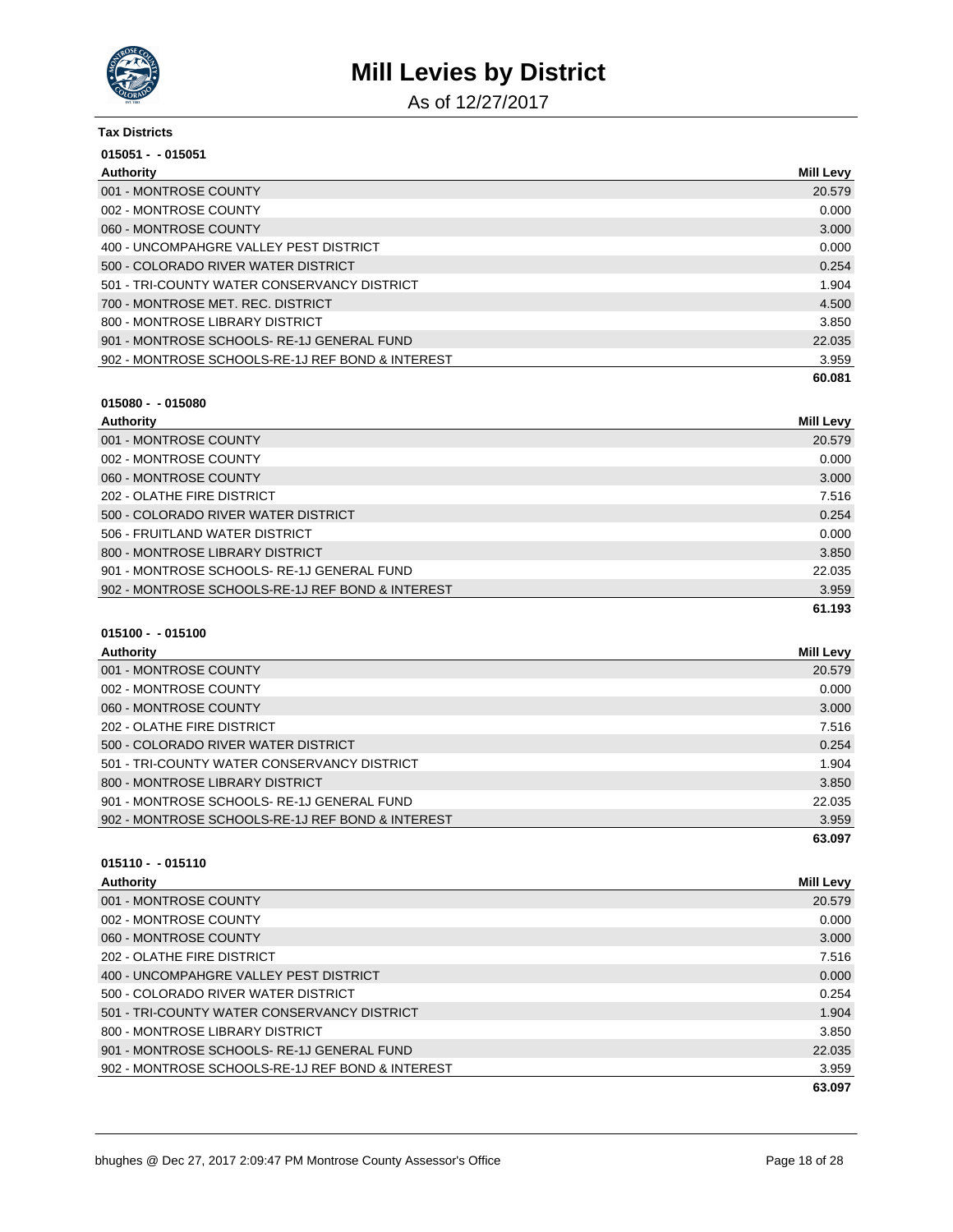

As of 12/27/2017

| Tax Districts                                    |           |
|--------------------------------------------------|-----------|
| $015051 - 015051$                                |           |
| Authority                                        | Mill Levy |
| 001 - MONTROSE COUNTY                            | 20.579    |
| 002 - MONTROSE COUNTY                            | 0.000     |
| 060 - MONTROSE COUNTY                            | 3.000     |
| 400 - UNCOMPAHGRE VALLEY PEST DISTRICT           | 0.000     |
| 500 - COLORADO RIVER WATER DISTRICT              | 0.254     |
| 501 - TRI-COUNTY WATER CONSERVANCY DISTRICT      | 1.904     |
| 700 - MONTROSE MET. REC. DISTRICT                | 4.500     |
| 800 - MONTROSE LIBRARY DISTRICT                  | 3.850     |
| 901 - MONTROSE SCHOOLS-RE-1J GENERAL FUND        | 22.035    |
| 902 - MONTROSE SCHOOLS-RE-1J REF BOND & INTEREST | 3.959     |
|                                                  | 60.081    |

#### **015080 - - 015080**

| Authority                                        | Mill Levy |
|--------------------------------------------------|-----------|
| 001 - MONTROSE COUNTY                            | 20.579    |
| 002 - MONTROSE COUNTY                            | 0.000     |
| 060 - MONTROSE COUNTY                            | 3.000     |
| 202 - OLATHE FIRE DISTRICT                       | 7.516     |
| 500 - COLORADO RIVER WATER DISTRICT              | 0.254     |
| 506 - FRUITLAND WATER DISTRICT                   | 0.000     |
| 800 - MONTROSE LIBRARY DISTRICT                  | 3.850     |
| 901 - MONTROSE SCHOOLS-RE-1J GENERAL FUND        | 22.035    |
| 902 - MONTROSE SCHOOLS-RE-1J REF BOND & INTEREST | 3.959     |
|                                                  | 61.193    |

### **015100 - - 015100**

| Authority                                        | Mill Levy |
|--------------------------------------------------|-----------|
| 001 - MONTROSE COUNTY                            | 20.579    |
| 002 - MONTROSE COUNTY                            | 0.000     |
| 060 - MONTROSE COUNTY                            | 3.000     |
| 202 - OLATHE FIRE DISTRICT                       | 7.516     |
| 500 - COLORADO RIVER WATER DISTRICT              | 0.254     |
| 501 - TRI-COUNTY WATER CONSERVANCY DISTRICT      | 1.904     |
| 800 - MONTROSE LIBRARY DISTRICT                  | 3.850     |
| 901 - MONTROSE SCHOOLS-RE-1J GENERAL FUND        | 22.035    |
| 902 - MONTROSE SCHOOLS-RE-1J REF BOND & INTEREST | 3.959     |
|                                                  | 63.097    |

| Authority                                        | <b>Mill Levy</b> |
|--------------------------------------------------|------------------|
| 001 - MONTROSE COUNTY                            | 20.579           |
| 002 - MONTROSE COUNTY                            | 0.000            |
| 060 - MONTROSE COUNTY                            | 3.000            |
| 202 - OLATHE FIRE DISTRICT                       | 7.516            |
| 400 - UNCOMPAHGRE VALLEY PEST DISTRICT           | 0.000            |
| 500 - COLORADO RIVER WATER DISTRICT              | 0.254            |
| 501 - TRI-COUNTY WATER CONSERVANCY DISTRICT      | 1.904            |
| 800 - MONTROSE LIBRARY DISTRICT                  | 3.850            |
| 901 - MONTROSE SCHOOLS-RE-1J GENERAL FUND        | 22.035           |
| 902 - MONTROSE SCHOOLS-RE-1J REF BOND & INTEREST | 3.959            |
|                                                  | 63.097           |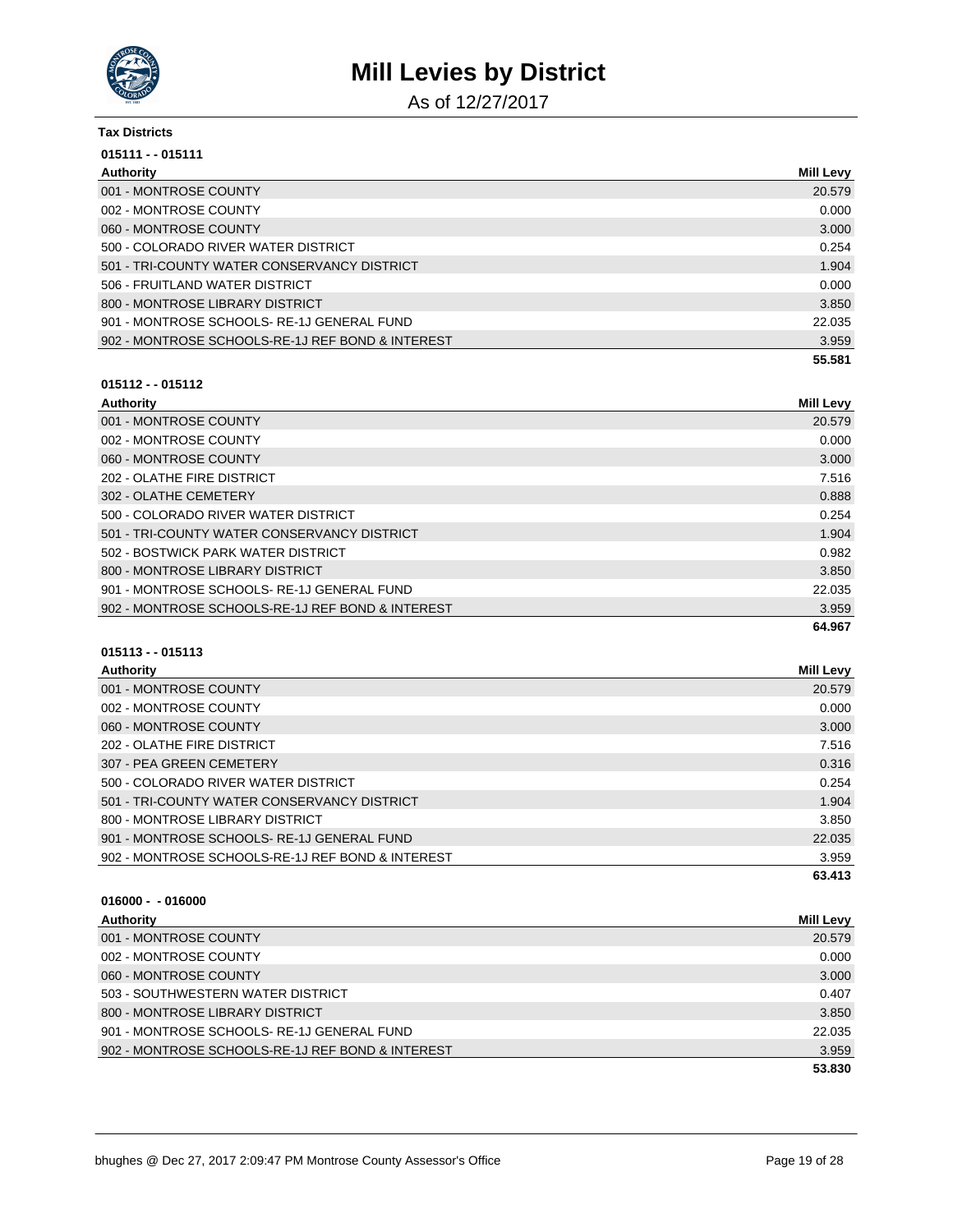

As of 12/27/2017

| <b>Tax Districts</b>                             |                  |
|--------------------------------------------------|------------------|
| $015111 - 015111$                                |                  |
| Authority                                        | <b>Mill Levy</b> |
| 001 - MONTROSE COUNTY                            | 20.579           |
| 002 - MONTROSE COUNTY                            | 0.000            |
| 060 - MONTROSE COUNTY                            | 3.000            |
| 500 - COLORADO RIVER WATER DISTRICT              | 0.254            |
| 501 - TRI-COUNTY WATER CONSERVANCY DISTRICT      | 1.904            |
| 506 - FRUITLAND WATER DISTRICT                   | 0.000            |
| 800 - MONTROSE LIBRARY DISTRICT                  | 3.850            |
| 901 - MONTROSE SCHOOLS-RE-1J GENERAL FUND        | 22.035           |
| 902 - MONTROSE SCHOOLS-RE-1J REF BOND & INTEREST | 3.959            |
|                                                  | 55.581           |

### **015112 - - 015112**

| Authority                                        | <b>Mill Levy</b> |
|--------------------------------------------------|------------------|
| 001 - MONTROSE COUNTY                            | 20.579           |
| 002 - MONTROSE COUNTY                            | 0.000            |
| 060 - MONTROSE COUNTY                            | 3.000            |
| 202 - OLATHE FIRE DISTRICT                       | 7.516            |
| 302 - OLATHE CEMETERY                            | 0.888            |
| 500 - COLORADO RIVER WATER DISTRICT              | 0.254            |
| 501 - TRI-COUNTY WATER CONSERVANCY DISTRICT      | 1.904            |
| 502 - BOSTWICK PARK WATER DISTRICT               | 0.982            |
| 800 - MONTROSE LIBRARY DISTRICT                  | 3.850            |
| 901 - MONTROSE SCHOOLS-RE-1J GENERAL FUND        | 22.035           |
| 902 - MONTROSE SCHOOLS-RE-1J REF BOND & INTEREST | 3.959            |
|                                                  | 64.967           |

### **015113 - - 015113**

| <b>Authority</b>                                 | Mill Levy |
|--------------------------------------------------|-----------|
| 001 - MONTROSE COUNTY                            | 20.579    |
| 002 - MONTROSE COUNTY                            | 0.000     |
| 060 - MONTROSE COUNTY                            | 3.000     |
| 202 - OLATHE FIRE DISTRICT                       | 7.516     |
| 307 - PEA GREEN CEMETERY                         | 0.316     |
| 500 - COLORADO RIVER WATER DISTRICT              | 0.254     |
| 501 - TRI-COUNTY WATER CONSERVANCY DISTRICT      | 1.904     |
| 800 - MONTROSE LIBRARY DISTRICT                  | 3.850     |
| 901 - MONTROSE SCHOOLS-RE-1J GENERAL FUND        | 22.035    |
| 902 - MONTROSE SCHOOLS-RE-1J REF BOND & INTEREST | 3.959     |
|                                                  | 63.413    |

| Authority                                        | <b>Mill Levy</b> |
|--------------------------------------------------|------------------|
| 001 - MONTROSE COUNTY                            | 20.579           |
| 002 - MONTROSE COUNTY                            | 0.000            |
| 060 - MONTROSE COUNTY                            | 3.000            |
| 503 - SOUTHWESTERN WATER DISTRICT                | 0.407            |
| 800 - MONTROSE LIBRARY DISTRICT                  | 3.850            |
| 901 - MONTROSE SCHOOLS-RE-1J GENERAL FUND        | 22.035           |
| 902 - MONTROSE SCHOOLS-RE-1J REF BOND & INTEREST | 3.959            |
|                                                  | 53.830           |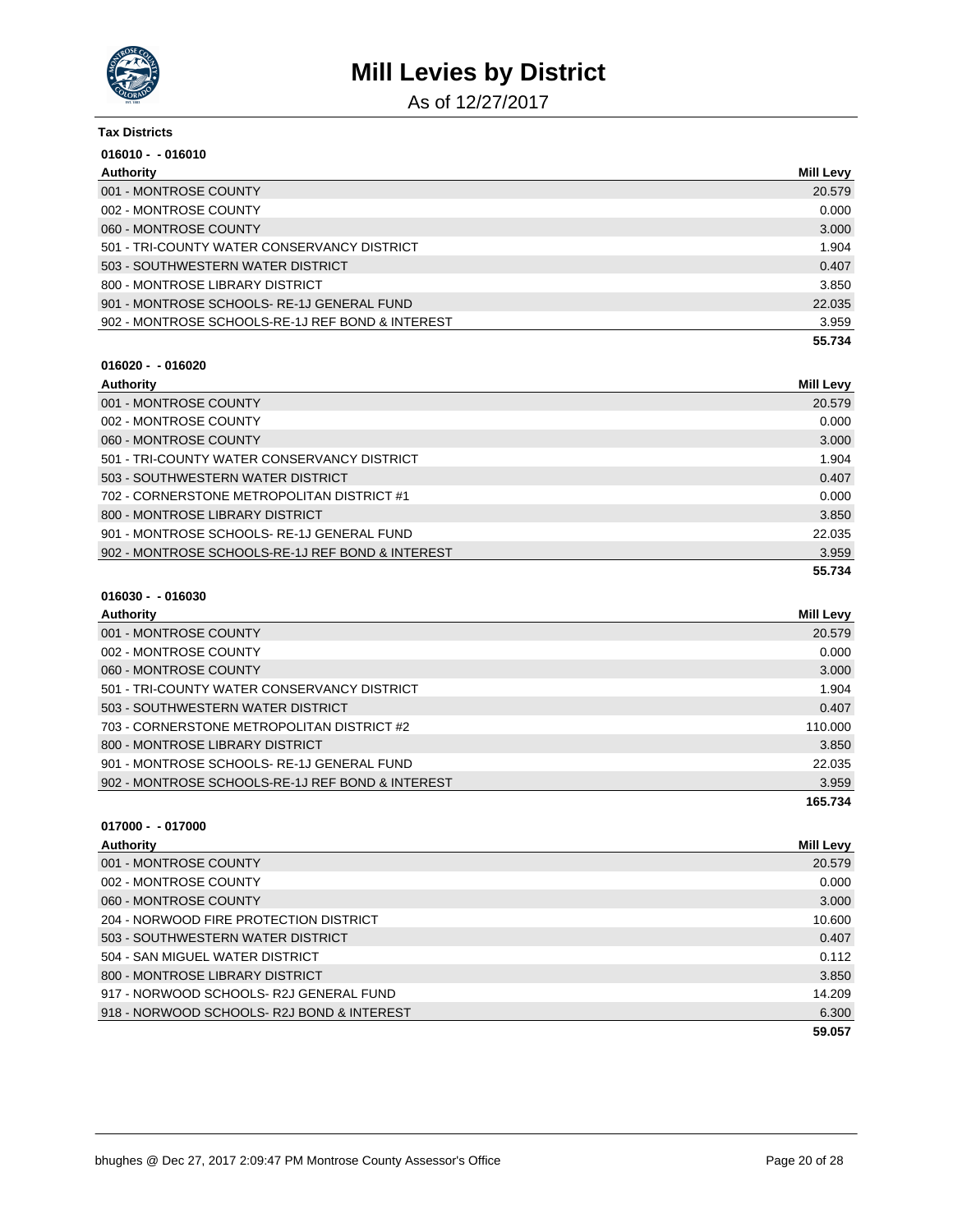

As of 12/27/2017

| Tax Districts                                    |           |
|--------------------------------------------------|-----------|
| $016010 - 016010$                                |           |
| Authority                                        | Mill Levy |
| 001 - MONTROSE COUNTY                            | 20.579    |
| 002 - MONTROSE COUNTY                            | 0.000     |
| 060 - MONTROSE COUNTY                            | 3.000     |
| 501 - TRI-COUNTY WATER CONSERVANCY DISTRICT      | 1.904     |
| 503 - SOUTHWESTERN WATER DISTRICT                | 0.407     |
| 800 - MONTROSE LIBRARY DISTRICT                  | 3.850     |
| 901 - MONTROSE SCHOOLS-RE-1J GENERAL FUND        | 22.035    |
| 902 - MONTROSE SCHOOLS-RE-1J REF BOND & INTEREST | 3.959     |
|                                                  | 55.734    |

#### **016020 - - 016020**

| Authority                                        | <b>Mill Levy</b> |
|--------------------------------------------------|------------------|
| 001 - MONTROSE COUNTY                            | 20.579           |
| 002 - MONTROSE COUNTY                            | 0.000            |
| 060 - MONTROSE COUNTY                            | 3.000            |
| 501 - TRI-COUNTY WATER CONSERVANCY DISTRICT      | 1.904            |
| 503 - SOUTHWESTERN WATER DISTRICT                | 0.407            |
| 702 - CORNERSTONE METROPOLITAN DISTRICT #1       | 0.000            |
| 800 - MONTROSE LIBRARY DISTRICT                  | 3.850            |
| 901 - MONTROSE SCHOOLS-RE-1J GENERAL FUND        | 22.035           |
| 902 - MONTROSE SCHOOLS-RE-1J REF BOND & INTEREST | 3.959            |
|                                                  | 55.734           |

### **016030 - - 016030**

| Mill Levy |
|-----------|
| 20.579    |
| 0.000     |
| 3.000     |
| 1.904     |
| 0.407     |
| 110.000   |
| 3.850     |
| 22.035    |
| 3.959     |
| 165.734   |
|           |

| Authority                                 | Mill Levy |
|-------------------------------------------|-----------|
| 001 - MONTROSE COUNTY                     | 20.579    |
| 002 - MONTROSE COUNTY                     | 0.000     |
| 060 - MONTROSE COUNTY                     | 3.000     |
| 204 - NORWOOD FIRE PROTECTION DISTRICT    | 10.600    |
| 503 - SOUTHWESTERN WATER DISTRICT         | 0.407     |
| 504 - SAN MIGUEL WATER DISTRICT           | 0.112     |
| 800 - MONTROSE LIBRARY DISTRICT           | 3.850     |
| 917 - NORWOOD SCHOOLS-R2J GENERAL FUND    | 14.209    |
| 918 - NORWOOD SCHOOLS-R2J BOND & INTEREST | 6.300     |
|                                           | 59.057    |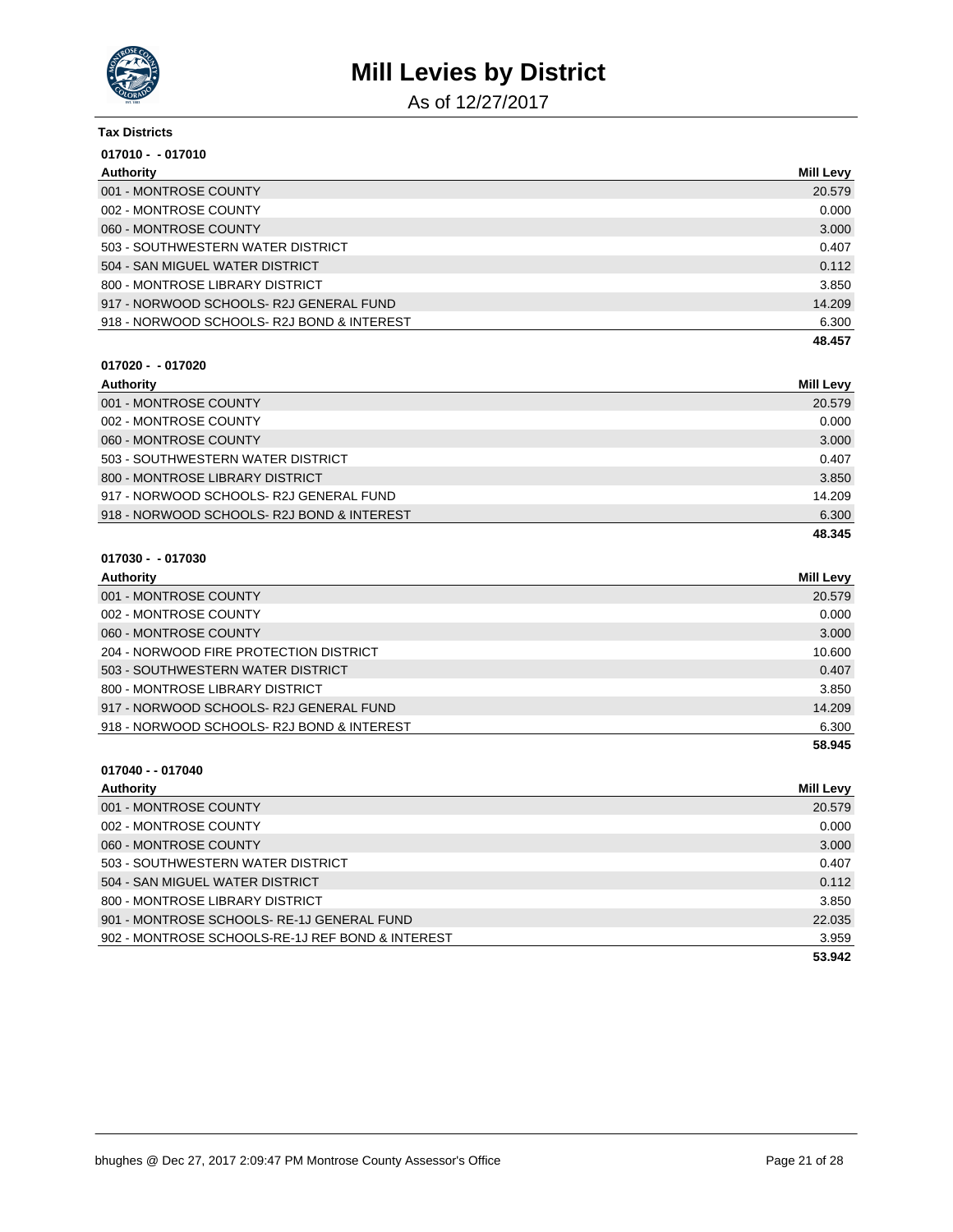

As of 12/27/2017

### **Tax Districts 017010 - - 017010 Authority Mill Levy**

| <b>AULIOIR</b>                            | <b>INIIII</b> LEVY |
|-------------------------------------------|--------------------|
| 001 - MONTROSE COUNTY                     | 20.579             |
| 002 - MONTROSE COUNTY                     | 0.000              |
| 060 - MONTROSE COUNTY                     | 3.000              |
| 503 - SOUTHWESTERN WATER DISTRICT         | 0.407              |
| 504 - SAN MIGUEL WATER DISTRICT           | 0.112              |
| 800 - MONTROSE LIBRARY DISTRICT           | 3.850              |
| 917 - NORWOOD SCHOOLS- R2J GENERAL FUND   | 14.209             |
| 918 - NORWOOD SCHOOLS-R2J BOND & INTEREST | 6.300              |
|                                           | 48.457             |

#### **017020 - - 017020**

| Authority                                  | <b>Mill Levy</b> |
|--------------------------------------------|------------------|
| 001 - MONTROSE COUNTY                      | 20.579           |
| 002 - MONTROSE COUNTY                      | 0.000            |
| 060 - MONTROSE COUNTY                      | 3.000            |
| 503 - SOUTHWESTERN WATER DISTRICT          | 0.407            |
| 800 - MONTROSE LIBRARY DISTRICT            | 3.850            |
| 917 - NORWOOD SCHOOLS- R2J GENERAL FUND    | 14.209           |
| 918 - NORWOOD SCHOOLS- R2J BOND & INTEREST | 6.300            |
|                                            | 48.345           |

#### **017030 - - 017030**

| Authority                                 | <b>Mill Levy</b> |
|-------------------------------------------|------------------|
| 001 - MONTROSE COUNTY                     | 20.579           |
| 002 - MONTROSE COUNTY                     | 0.000            |
| 060 - MONTROSE COUNTY                     | 3.000            |
| 204 - NORWOOD FIRE PROTECTION DISTRICT    | 10.600           |
| 503 - SOUTHWESTERN WATER DISTRICT         | 0.407            |
| 800 - MONTROSE LIBRARY DISTRICT           | 3.850            |
| 917 - NORWOOD SCHOOLS-R2J GENERAL FUND    | 14.209           |
| 918 - NORWOOD SCHOOLS-R2J BOND & INTEREST | 6.300            |
|                                           | 58.945           |

### **017040 - - 017040 Authority Mill Levy** 001 - MONTROSE COUNTY 20.579 002 - MONTROSE COUNTY 0.000 NOTES AND THE SERVICE OF THE SERVICE OF THE SERVICE OF THE SERVICE OF THE SERVICE O 060 - MONTROSE COUNTY 3.000 503 - SOUTHWESTERN WATER DISTRICT 0.407 504 - SAN MIGUEL WATER DISTRICT 0.112 800 - MONTROSE LIBRARY DISTRICT 3.850 901 - MONTROSE SCHOOLS- RE-1J GENERAL FUND 22.035 902 - MONTROSE SCHOOLS-RE-1J REF BOND & INTEREST 3.959 **53.942**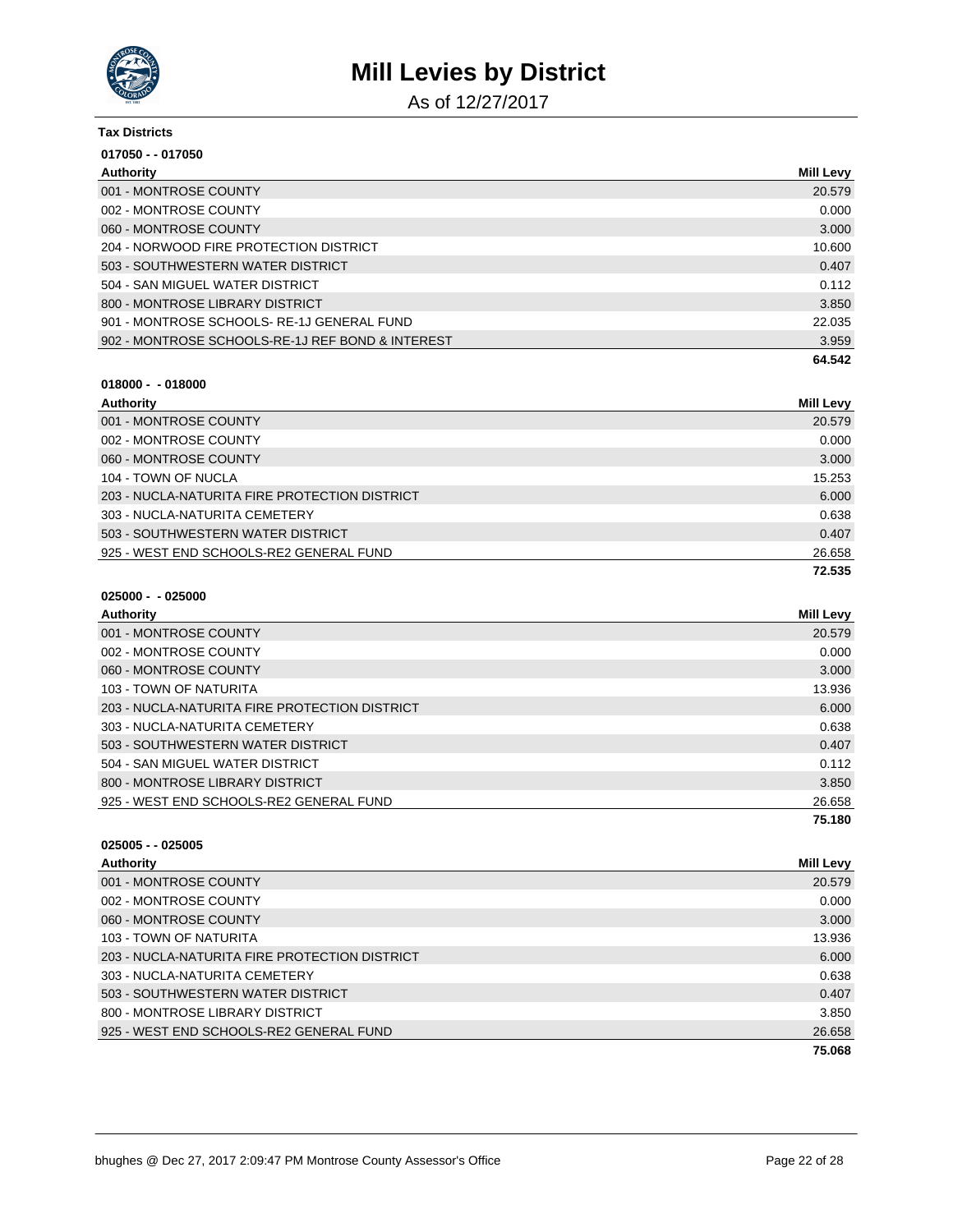

As of 12/27/2017

| <b>Tax Districts</b>                             |           |
|--------------------------------------------------|-----------|
| 017050 - - 017050                                |           |
| Authority                                        | Mill Levy |
| 001 - MONTROSE COUNTY                            | 20.579    |
| 002 - MONTROSE COUNTY                            | 0.000     |
| 060 - MONTROSE COUNTY                            | 3.000     |
| 204 - NORWOOD FIRE PROTECTION DISTRICT           | 10.600    |
| 503 - SOUTHWESTERN WATER DISTRICT                | 0.407     |
| 504 - SAN MIGUEL WATER DISTRICT                  | 0.112     |
| 800 - MONTROSE LIBRARY DISTRICT                  | 3.850     |
| 901 - MONTROSE SCHOOLS-RE-1J GENERAL FUND        | 22.035    |
| 902 - MONTROSE SCHOOLS-RE-1J REF BOND & INTEREST | 3.959     |
|                                                  | 64.542    |
| $018000 - 018000$                                |           |

| Authority                                     | Mill Levy |
|-----------------------------------------------|-----------|
| 001 - MONTROSE COUNTY                         | 20.579    |
| 002 - MONTROSE COUNTY                         | 0.000     |
| 060 - MONTROSE COUNTY                         | 3.000     |
| 104 - TOWN OF NUCLA                           | 15.253    |
| 203 - NUCLA-NATURITA FIRE PROTECTION DISTRICT | 6.000     |
| 303 - NUCLA-NATURITA CEMETERY                 | 0.638     |
| 503 - SOUTHWESTERN WATER DISTRICT             | 0.407     |
| 925 - WEST END SCHOOLS-RE2 GENERAL FUND       | 26.658    |
|                                               | 72.535    |

| $025000 -$ | - 025000 |
|------------|----------|
|------------|----------|

| Authority                                     | Mill Levy |
|-----------------------------------------------|-----------|
| 001 - MONTROSE COUNTY                         | 20.579    |
| 002 - MONTROSE COUNTY                         | 0.000     |
| 060 - MONTROSE COUNTY                         | 3.000     |
| 103 - TOWN OF NATURITA                        | 13.936    |
| 203 - NUCLA-NATURITA FIRE PROTECTION DISTRICT | 6.000     |
| 303 - NUCLA-NATURITA CEMETERY                 | 0.638     |
| 503 - SOUTHWESTERN WATER DISTRICT             | 0.407     |
| 504 - SAN MIGUEL WATER DISTRICT               | 0.112     |
| 800 - MONTROSE LIBRARY DISTRICT               | 3.850     |
| 925 - WEST END SCHOOLS-RE2 GENERAL FUND       | 26.658    |
|                                               | 75.180    |

| $025005 - 025005$                             |                  |
|-----------------------------------------------|------------------|
| Authority                                     | <b>Mill Levy</b> |
| 001 - MONTROSE COUNTY                         | 20.579           |
| 002 - MONTROSE COUNTY                         | 0.000            |
| 060 - MONTROSE COUNTY                         | 3.000            |
| 103 - TOWN OF NATURITA                        | 13.936           |
| 203 - NUCLA-NATURITA FIRE PROTECTION DISTRICT | 6.000            |
| 303 - NUCLA-NATURITA CEMETERY                 | 0.638            |
| 503 - SOUTHWESTERN WATER DISTRICT             | 0.407            |
| 800 - MONTROSE LIBRARY DISTRICT               | 3.850            |
| 925 - WEST END SCHOOLS-RE2 GENERAL FUND       | 26.658           |
|                                               | 75.068           |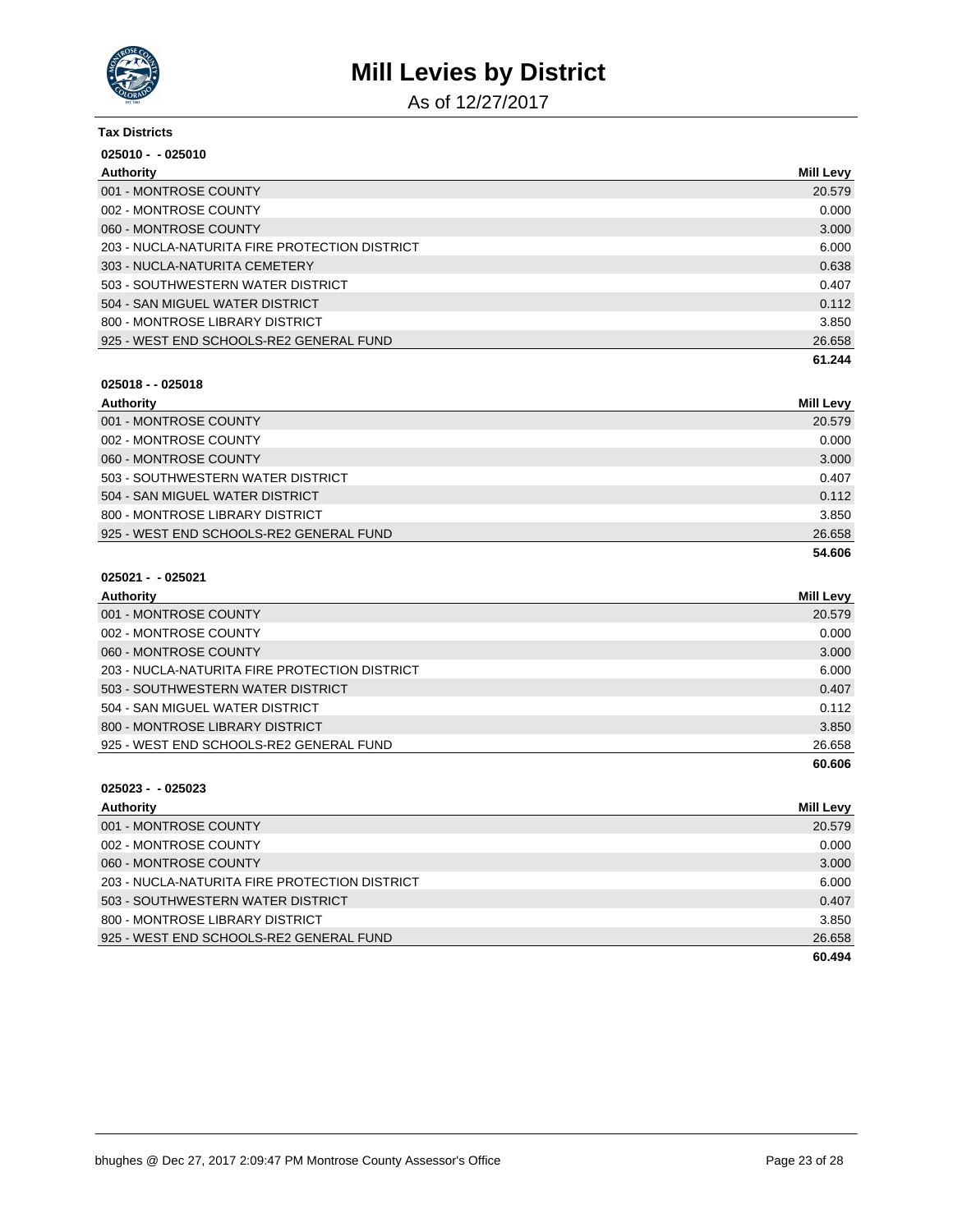

As of 12/27/2017

| <b>Tax Districts</b><br>$025010 - 025010$     |        |
|-----------------------------------------------|--------|
|                                               |        |
| 001 - MONTROSE COUNTY                         | 20.579 |
| 002 - MONTROSE COUNTY                         | 0.000  |
| 060 - MONTROSE COUNTY                         | 3.000  |
| 203 - NUCLA-NATURITA FIRE PROTECTION DISTRICT | 6.000  |
| 303 - NUCLA-NATURITA CEMETERY                 | 0.638  |
| 503 - SOUTHWESTERN WATER DISTRICT             | 0.407  |
| 504 - SAN MIGUEL WATER DISTRICT               | 0.112  |
| 800 - MONTROSE LIBRARY DISTRICT               | 3.850  |
| 925 - WEST END SCHOOLS-RE2 GENERAL FUND       | 26.658 |
|                                               | 61.244 |

#### **025018 - - 025018**

| Authority                               | <b>Mill Levy</b> |
|-----------------------------------------|------------------|
| 001 - MONTROSE COUNTY                   | 20.579           |
| 002 - MONTROSE COUNTY                   | 0.000            |
| 060 - MONTROSE COUNTY                   | 3.000            |
| 503 - SOUTHWESTERN WATER DISTRICT       | 0.407            |
| 504 - SAN MIGUEL WATER DISTRICT         | 0.112            |
| 800 - MONTROSE LIBRARY DISTRICT         | 3.850            |
| 925 - WEST END SCHOOLS-RE2 GENERAL FUND | 26.658           |
|                                         | 54.606           |

### **025021 - - 025021**

| Authority                                     | <b>Mill Levy</b> |
|-----------------------------------------------|------------------|
| 001 - MONTROSE COUNTY                         | 20.579           |
| 002 - MONTROSE COUNTY                         | 0.000            |
| 060 - MONTROSE COUNTY                         | 3.000            |
| 203 - NUCLA-NATURITA FIRE PROTECTION DISTRICT | 6.000            |
| 503 - SOUTHWESTERN WATER DISTRICT             | 0.407            |
| 504 - SAN MIGUEL WATER DISTRICT               | 0.112            |
| 800 - MONTROSE LIBRARY DISTRICT               | 3.850            |
| 925 - WEST END SCHOOLS-RE2 GENERAL FUND       | 26.658           |
|                                               | 60.606           |

| Authority                                     | <b>Mill Levy</b> |
|-----------------------------------------------|------------------|
| 001 - MONTROSE COUNTY                         | 20.579           |
| 002 - MONTROSE COUNTY                         | 0.000            |
| 060 - MONTROSE COUNTY                         | 3.000            |
| 203 - NUCLA-NATURITA FIRE PROTECTION DISTRICT | 6.000            |
| 503 - SOUTHWESTERN WATER DISTRICT             | 0.407            |
| 800 - MONTROSE LIBRARY DISTRICT               | 3.850            |
| 925 - WEST END SCHOOLS-RE2 GENERAL FUND       | 26.658           |
|                                               | 60.494           |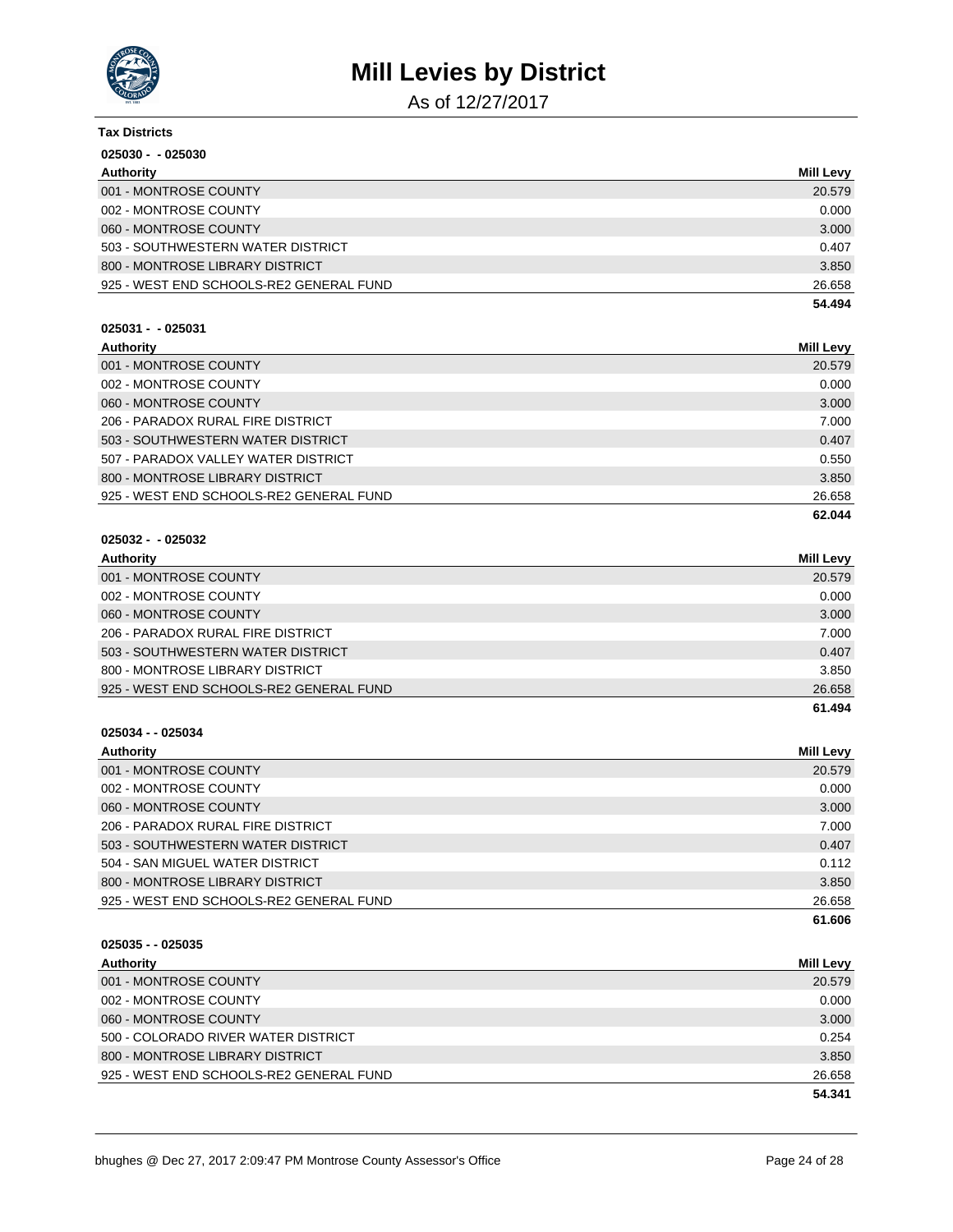

As of 12/27/2017

| <b>Tax Districts</b>                    |                  |
|-----------------------------------------|------------------|
| $025030 - 025030$                       |                  |
| Authority                               | <b>Mill Levy</b> |
| 001 - MONTROSE COUNTY                   | 20.579           |
| 002 - MONTROSE COUNTY                   | 0.000            |
| 060 - MONTROSE COUNTY                   | 3.000            |
| 503 - SOUTHWESTERN WATER DISTRICT       | 0.407            |
| 800 - MONTROSE LIBRARY DISTRICT         | 3.850            |
| 925 - WEST END SCHOOLS-RE2 GENERAL FUND | 26.658           |
|                                         | 54.494           |
| $025031 - 025031$                       |                  |
| Authority                               | <b>Mill Levy</b> |
| 001 - MONTROSE COUNTY                   | 20.579           |
| 002 - MONTROSE COUNTY                   | 0.000            |
| 060 - MONTROSE COUNTY                   | 3.000            |
| 206 - PARADOX RURAL FIRE DISTRICT       | 7.000            |
| 503 - SOUTHWESTERN WATER DISTRICT       | 0.407            |
| 507 - PARADOX VALLEY WATER DISTRICT     | 0.550            |
| 800 - MONTROSE LIBRARY DISTRICT         | 3.850            |
| 925 - WEST END SCHOOLS-RE2 GENERAL FUND | 26.658           |
|                                         | 62.044           |
| $025032 - 025032$                       |                  |
| Authority                               | <b>Mill Levy</b> |
|                                         |                  |

| 001 - MONTROSE COUNTY                   | 20.579 |
|-----------------------------------------|--------|
| 002 - MONTROSE COUNTY                   | 0.000  |
| 060 - MONTROSE COUNTY                   | 3.000  |
| 206 - PARADOX RURAL FIRE DISTRICT       | 7.000  |
| 503 - SOUTHWESTERN WATER DISTRICT       | 0.407  |
| 800 - MONTROSE LIBRARY DISTRICT         | 3.850  |
| 925 - WEST END SCHOOLS-RE2 GENERAL FUND | 26.658 |
|                                         | 61.494 |

| Authority                               | Mill Levy |
|-----------------------------------------|-----------|
| 001 - MONTROSE COUNTY                   | 20.579    |
| 002 - MONTROSE COUNTY                   | 0.000     |
| 060 - MONTROSE COUNTY                   | 3.000     |
| 206 - PARADOX RURAL FIRE DISTRICT       | 7.000     |
| 503 - SOUTHWESTERN WATER DISTRICT       | 0.407     |
| 504 - SAN MIGUEL WATER DISTRICT         | 0.112     |
| 800 - MONTROSE LIBRARY DISTRICT         | 3.850     |
| 925 - WEST END SCHOOLS-RE2 GENERAL FUND | 26.658    |
|                                         | 61.606    |

| $025035 - 025035$                       |                  |
|-----------------------------------------|------------------|
| Authority                               | <b>Mill Levy</b> |
| 001 - MONTROSE COUNTY                   | 20.579           |
| 002 - MONTROSE COUNTY                   | 0.000            |
| 060 - MONTROSE COUNTY                   | 3.000            |
| 500 - COLORADO RIVER WATER DISTRICT     | 0.254            |
| 800 - MONTROSE LIBRARY DISTRICT         | 3.850            |
| 925 - WEST END SCHOOLS-RE2 GENERAL FUND | 26.658           |
|                                         | 54.341           |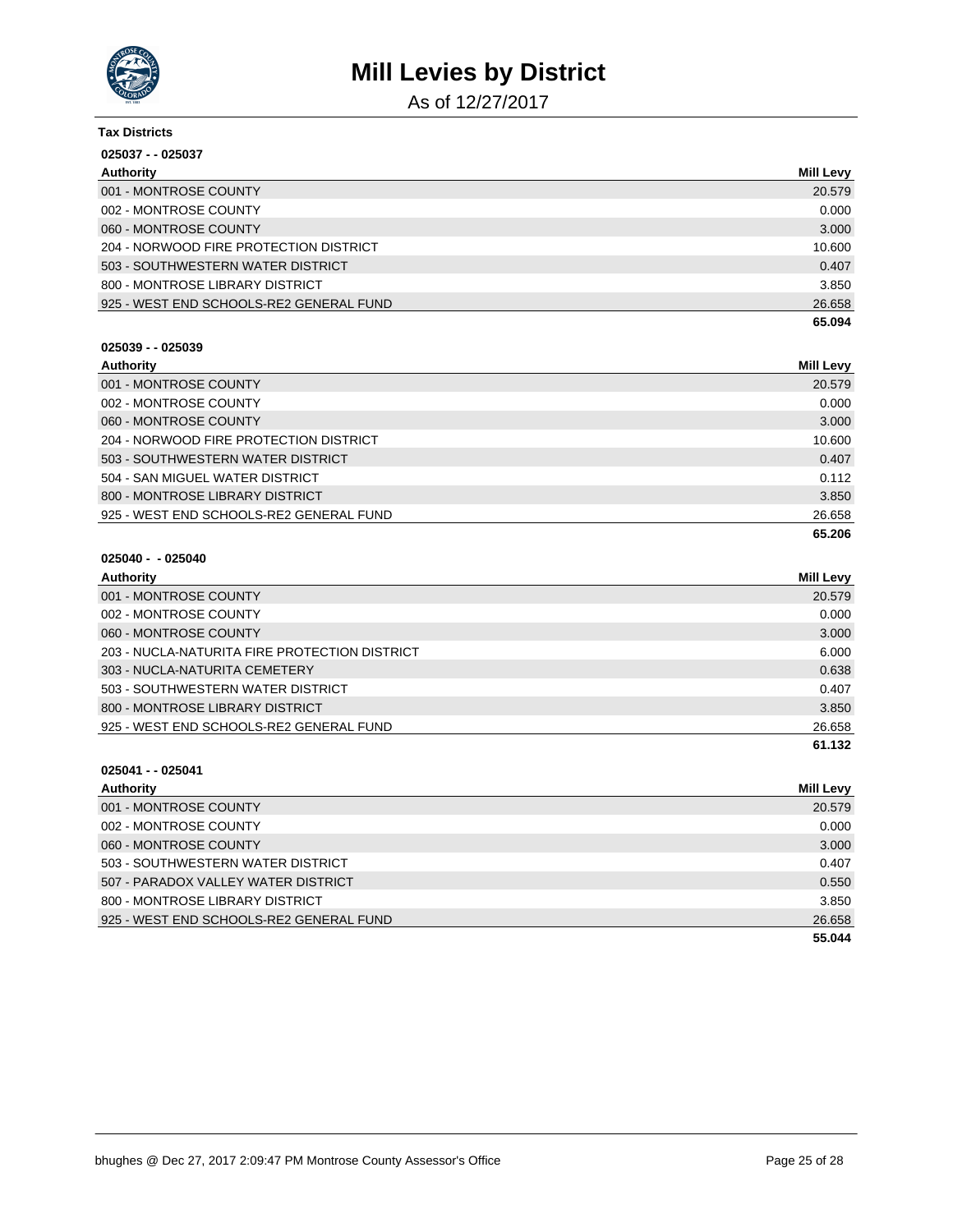

As of 12/27/2017

| <b>Tax Districts</b>                    |                  |
|-----------------------------------------|------------------|
| $025037 - 025037$                       |                  |
| Authority                               | <b>Mill Levy</b> |
| 001 - MONTROSE COUNTY                   | 20.579           |
| 002 - MONTROSE COUNTY                   | 0.000            |
| 060 - MONTROSE COUNTY                   | 3.000            |
| 204 - NORWOOD FIRE PROTECTION DISTRICT  | 10.600           |
| 503 - SOUTHWESTERN WATER DISTRICT       | 0.407            |
| 800 - MONTROSE LIBRARY DISTRICT         | 3.850            |
| 925 - WEST END SCHOOLS-RE2 GENERAL FUND | 26.658           |
|                                         | 65.094           |

### **025039 - - 025039**

| Authority                               | <b>Mill Levy</b> |
|-----------------------------------------|------------------|
| 001 - MONTROSE COUNTY                   | 20.579           |
| 002 - MONTROSE COUNTY                   | 0.000            |
| 060 - MONTROSE COUNTY                   | 3.000            |
| 204 - NORWOOD FIRE PROTECTION DISTRICT  | 10.600           |
| 503 - SOUTHWESTERN WATER DISTRICT       | 0.407            |
| 504 - SAN MIGUEL WATER DISTRICT         | 0.112            |
| 800 - MONTROSE LIBRARY DISTRICT         | 3.850            |
| 925 - WEST END SCHOOLS-RE2 GENERAL FUND | 26.658           |
|                                         | 65.206           |

### **025040 - - 025040**

| Authority                                     | Mill Levy |
|-----------------------------------------------|-----------|
| 001 - MONTROSE COUNTY                         | 20.579    |
| 002 - MONTROSE COUNTY                         | 0.000     |
| 060 - MONTROSE COUNTY                         | 3.000     |
| 203 - NUCLA-NATURITA FIRE PROTECTION DISTRICT | 6.000     |
| 303 - NUCLA-NATURITA CEMETERY                 | 0.638     |
| 503 - SOUTHWESTERN WATER DISTRICT             | 0.407     |
| 800 - MONTROSE LIBRARY DISTRICT               | 3.850     |
| 925 - WEST END SCHOOLS-RE2 GENERAL FUND       | 26.658    |
|                                               | 61.132    |

| Authority                               | Mill Levy |
|-----------------------------------------|-----------|
| 001 - MONTROSE COUNTY                   | 20.579    |
| 002 - MONTROSE COUNTY                   | 0.000     |
| 060 - MONTROSE COUNTY                   | 3.000     |
| 503 - SOUTHWESTERN WATER DISTRICT       | 0.407     |
| 507 - PARADOX VALLEY WATER DISTRICT     | 0.550     |
| 800 - MONTROSE LIBRARY DISTRICT         | 3.850     |
| 925 - WEST END SCHOOLS-RE2 GENERAL FUND | 26.658    |
|                                         | 55.044    |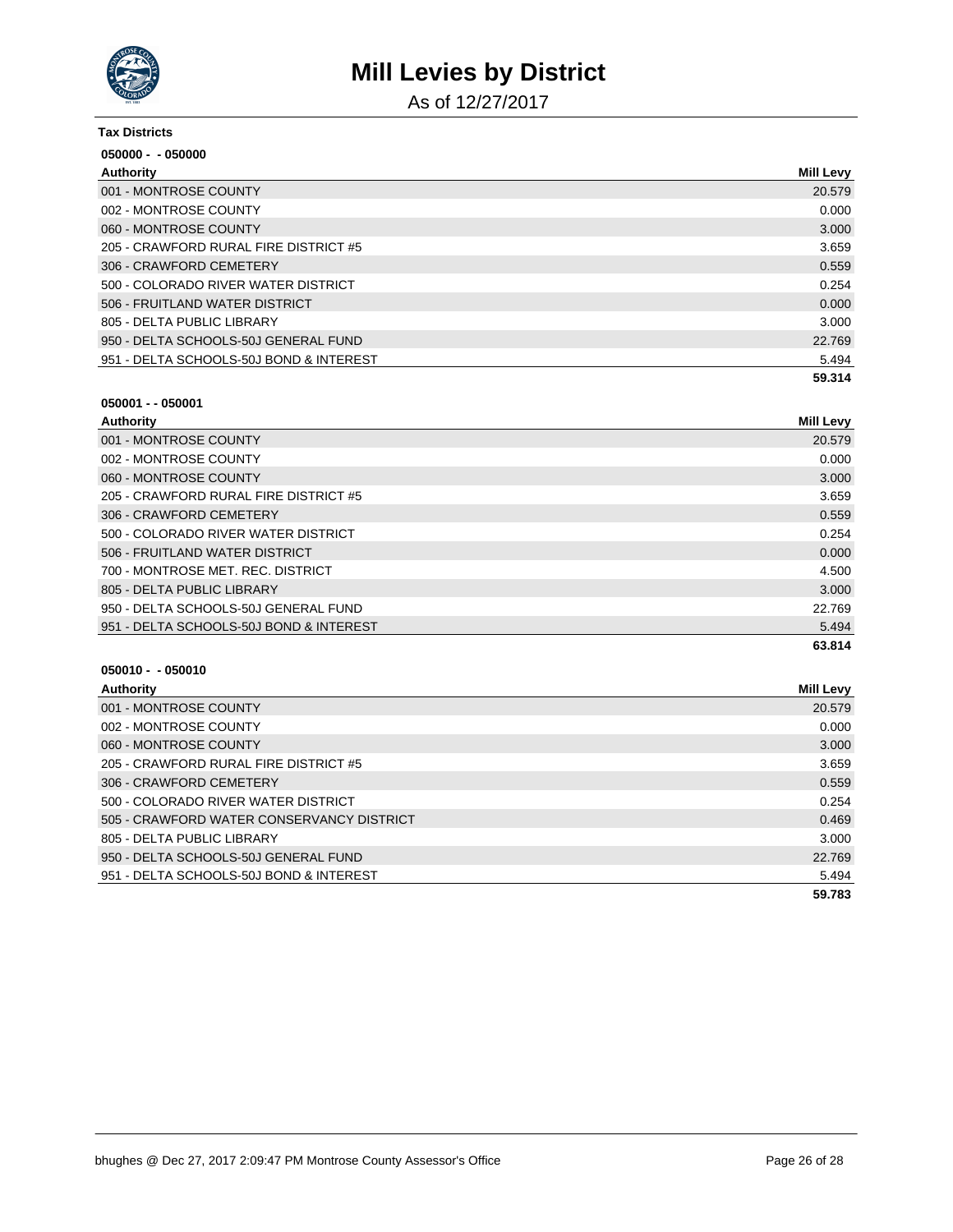

As of 12/27/2017

| <b>Tax Districts</b>                    |                  |
|-----------------------------------------|------------------|
| $050000 - 050000$                       |                  |
| Authority                               | <b>Mill Levy</b> |
| 001 - MONTROSE COUNTY                   | 20.579           |
| 002 - MONTROSE COUNTY                   | 0.000            |
| 060 - MONTROSE COUNTY                   | 3.000            |
| 205 - CRAWFORD RURAL FIRE DISTRICT #5   | 3.659            |
| 306 - CRAWFORD CEMETERY                 | 0.559            |
| 500 - COLORADO RIVER WATER DISTRICT     | 0.254            |
| 506 - FRUITLAND WATER DISTRICT          | 0.000            |
| 805 - DELTA PUBLIC LIBRARY              | 3.000            |
| 950 - DELTA SCHOOLS-50J GENERAL FUND    | 22.769           |
| 951 - DELTA SCHOOLS-50J BOND & INTEREST | 5.494            |
|                                         | 59.314           |

#### **050001 - - 050001**

| Authority                               | Mill Levy |
|-----------------------------------------|-----------|
| 001 - MONTROSE COUNTY                   | 20.579    |
| 002 - MONTROSE COUNTY                   | 0.000     |
| 060 - MONTROSE COUNTY                   | 3.000     |
| 205 - CRAWFORD RURAL FIRE DISTRICT #5   | 3.659     |
| 306 - CRAWFORD CEMETERY                 | 0.559     |
| 500 - COLORADO RIVER WATER DISTRICT     | 0.254     |
| 506 - FRUITLAND WATER DISTRICT          | 0.000     |
| 700 - MONTROSE MET. REC. DISTRICT       | 4.500     |
| 805 - DELTA PUBLIC LIBRARY              | 3.000     |
| 950 - DELTA SCHOOLS-50J GENERAL FUND    | 22.769    |
| 951 - DELTA SCHOOLS-50J BOND & INTEREST | 5.494     |
|                                         | 63.814    |

| Authority                                 | Mill Levy |
|-------------------------------------------|-----------|
| 001 - MONTROSE COUNTY                     | 20.579    |
| 002 - MONTROSE COUNTY                     | 0.000     |
| 060 - MONTROSE COUNTY                     | 3.000     |
| 205 - CRAWFORD RURAL FIRE DISTRICT #5     | 3.659     |
| 306 - CRAWFORD CEMETERY                   | 0.559     |
| 500 - COLORADO RIVER WATER DISTRICT       | 0.254     |
| 505 - CRAWFORD WATER CONSERVANCY DISTRICT | 0.469     |
| 805 - DELTA PUBLIC LIBRARY                | 3.000     |
| 950 - DELTA SCHOOLS-50J GENERAL FUND      | 22.769    |
| 951 - DELTA SCHOOLS-50J BOND & INTEREST   | 5.494     |
|                                           | 59.783    |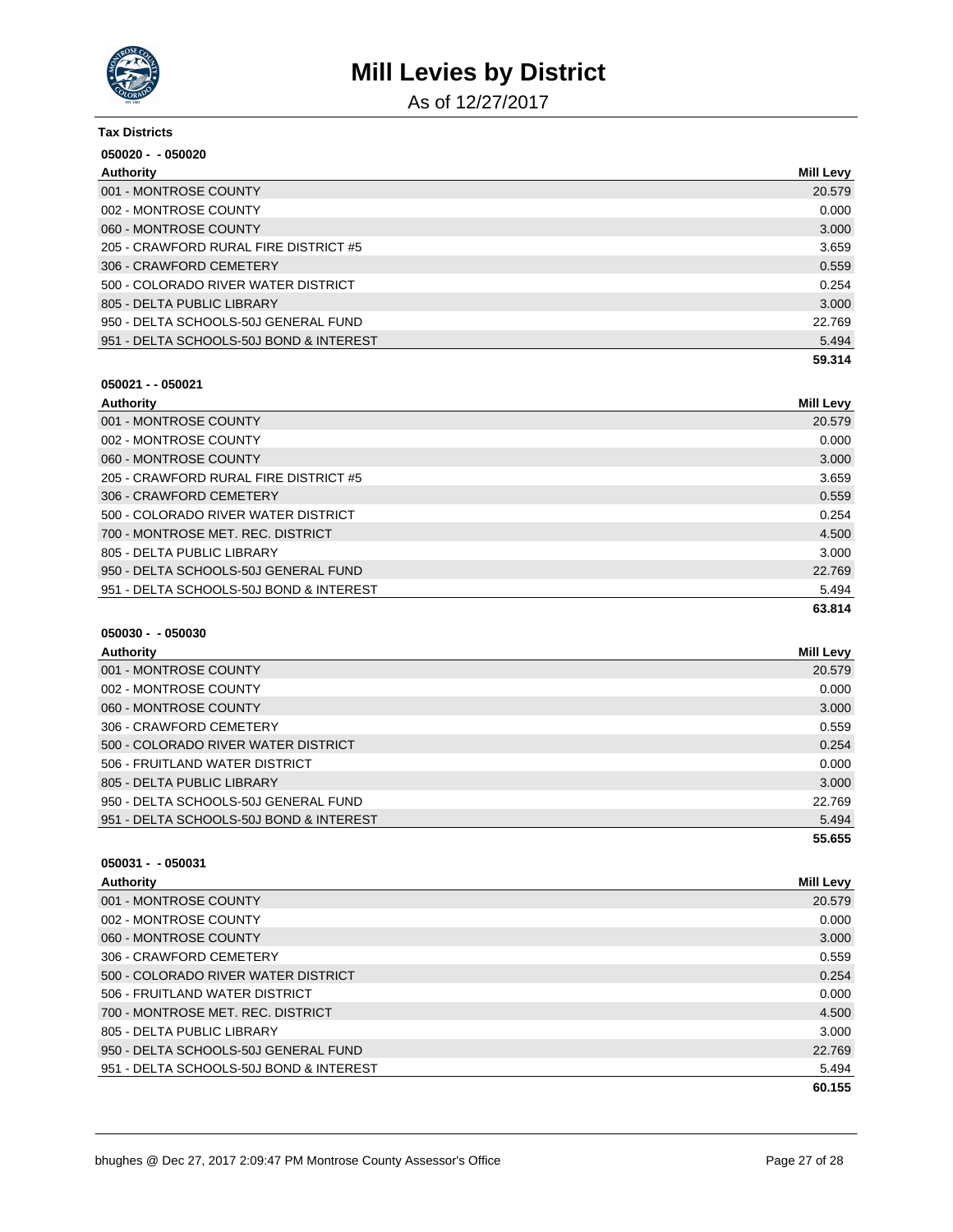

As of 12/27/2017

| <b>Tax Districts</b>                    |           |
|-----------------------------------------|-----------|
| $050020 - 050020$                       |           |
| Authority                               | Mill Levy |
| 001 - MONTROSE COUNTY                   | 20.579    |
| 002 - MONTROSE COUNTY                   | 0.000     |
| 060 - MONTROSE COUNTY                   | 3.000     |
| 205 - CRAWFORD RURAL FIRE DISTRICT #5   | 3.659     |
| 306 - CRAWFORD CEMETERY                 | 0.559     |
| 500 - COLORADO RIVER WATER DISTRICT     | 0.254     |
| 805 - DELTA PUBLIC LIBRARY              | 3.000     |
| 950 - DELTA SCHOOLS-50J GENERAL FUND    | 22.769    |
| 951 - DELTA SCHOOLS-50J BOND & INTEREST | 5.494     |
|                                         | 59.314    |

### **050021 - - 050021**

| Authority                               | <b>Mill Levy</b> |
|-----------------------------------------|------------------|
| 001 - MONTROSE COUNTY                   | 20.579           |
| 002 - MONTROSE COUNTY                   | 0.000            |
| 060 - MONTROSE COUNTY                   | 3.000            |
| 205 - CRAWFORD RURAL FIRE DISTRICT #5   | 3.659            |
| 306 - CRAWFORD CEMETERY                 | 0.559            |
| 500 - COLORADO RIVER WATER DISTRICT     | 0.254            |
| 700 - MONTROSE MET. REC. DISTRICT       | 4.500            |
| 805 - DELTA PUBLIC LIBRARY              | 3.000            |
| 950 - DELTA SCHOOLS-50J GENERAL FUND    | 22.769           |
| 951 - DELTA SCHOOLS-50J BOND & INTEREST | 5.494            |
|                                         | 63.814           |

### **050030 - - 050030**

| Authority                               | Mill Levy |
|-----------------------------------------|-----------|
| 001 - MONTROSE COUNTY                   | 20.579    |
| 002 - MONTROSE COUNTY                   | 0.000     |
| 060 - MONTROSE COUNTY                   | 3.000     |
| 306 - CRAWFORD CEMETERY                 | 0.559     |
| 500 - COLORADO RIVER WATER DISTRICT     | 0.254     |
| 506 - FRUITLAND WATER DISTRICT          | 0.000     |
| 805 - DELTA PUBLIC LIBRARY              | 3.000     |
| 950 - DELTA SCHOOLS-50J GENERAL FUND    | 22.769    |
| 951 - DELTA SCHOOLS-50J BOND & INTEREST | 5.494     |
|                                         | 55.655    |

| <b>Authority</b>                        | <b>Mill Levy</b> |
|-----------------------------------------|------------------|
| 001 - MONTROSE COUNTY                   | 20.579           |
| 002 - MONTROSE COUNTY                   | 0.000            |
| 060 - MONTROSE COUNTY                   | 3.000            |
| 306 - CRAWFORD CEMETERY                 | 0.559            |
| 500 - COLORADO RIVER WATER DISTRICT     | 0.254            |
| 506 - FRUITLAND WATER DISTRICT          | 0.000            |
| 700 - MONTROSE MET. REC. DISTRICT       | 4.500            |
| 805 - DELTA PUBLIC LIBRARY              | 3.000            |
| 950 - DELTA SCHOOLS-50J GENERAL FUND    | 22.769           |
| 951 - DELTA SCHOOLS-50J BOND & INTEREST | 5.494            |
|                                         | 60.155           |